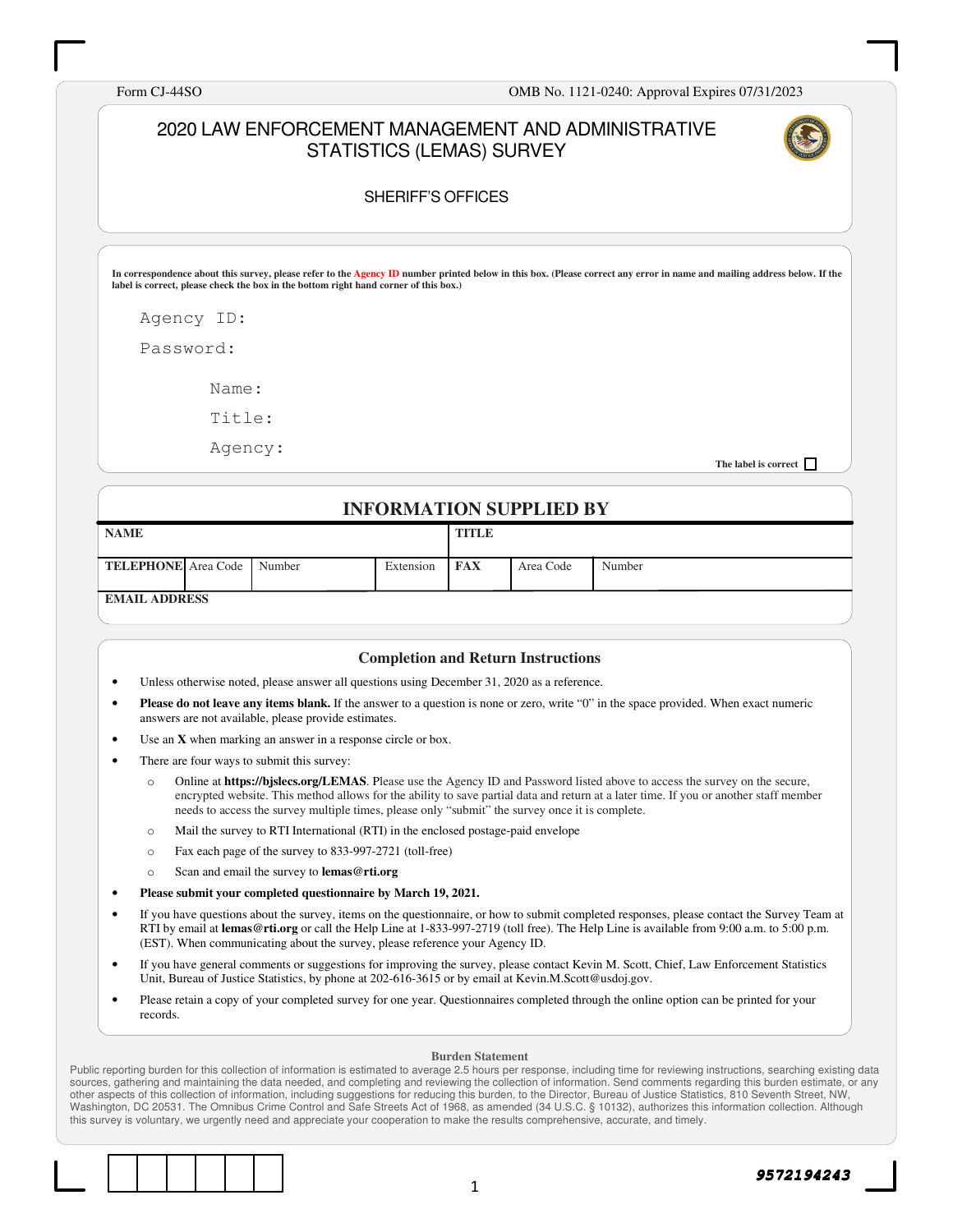Form CJ-44SO OMB No. 1121-0240: Approval Expires 07/31/2023

#### 2020 LAW ENFORCEMENT MANAGEMENT AND ADMINISTRATIVE STATISTICS (LEMAS) SURVEY



#### SHERIFF'S OFFICES

**In correspondence about this survey, please refer to the Agency ID number printed below in this box. (Please correct any error in name and mailing address below. If the label is correct, please check the box in the bottom right hand corner of this box.)** 

Agency ID:

Password:

Name:

Title:

Agency:

**The label is correct** 

#### **INFORMATION SUPPLIED BY**

| <b>NAME</b>                       |  |           | <b>TITLE</b> |           |        |
|-----------------------------------|--|-----------|--------------|-----------|--------|
| <b>TELEPHONE</b> Area Code Number |  | Extension | <b>FAX</b>   | Area Code | Number |
| <b>EMAIL ADDRESS</b>              |  |           |              |           |        |

**EMAIL ADDRESS** 

#### **Completion and Return Instructions**

- Unless otherwise noted, please answer all questions using December 31, 2020 as a reference.
- **Please do not leave any items blank.** If the answer to a question is none or zero, write "0" in the space provided. When exact numeric answers are not available, please provide estimates.
- Use an **X** when marking an answer in a response circle or box.
- There are four ways to submit this survey:
	- o Online at **https://bjslecs.org/LEMAS**. Please use the Agency ID and Password listed above to access the survey on the secure, encrypted website. This method allows for the ability to save partial data and return at a later time. If you or another staff member needs to access the survey multiple times, please only "submit" the survey once it is complete.
	- o Mail the survey to RTI International (RTI) in the enclosed postage-paid envelope
	- o Fax each page of the survey to 833-997-2721 (toll-free)
	- o Scan and email the survey to **lemas@rti.org**
- **Please submit your completed questionnaire by March 19, 2021.**
- If you have questions about the survey, items on the questionnaire, or how to submit completed responses, please contact the Survey Team at RTI by email at **lemas@rti.org** or call the Help Line at 1-833-997-2719 (toll free). The Help Line is available from 9:00 a.m. to 5:00 p.m. (EST). When communicating about the survey, please reference your Agency ID.
- If you have general comments or suggestions for improving the survey, please contact Kevin M. Scott, Chief, Law Enforcement Statistics Unit, Bureau of Justice Statistics, by phone at 202-616-3615 or by email at Kevin.M.Scott@usdoj.gov.
- Please retain a copy of your completed survey for one year. Questionnaires completed through the online option can be printed for your records.

#### **Burden Statement**

Public reporting burden for this collection of information is estimated to average 2.5 hours per response, including time for reviewing instructions, searching existing data sources, gathering and maintaining the data needed, and completing and reviewing the collection of information. Send comments regarding this burden estimate, or any other aspects of this collection of information, including suggestions for reducing this burden, to the Director, Bureau of Justice Statistics, 810 Seventh Street, NW, Washington, DC 20531. The Omnibus Crime Control and Safe Streets Act of 1968, as amended (34 U.S.C. § 10132), authorizes this information collection. Although this survey is voluntary, we urgently need and appreciate your cooperation to make the results comprehensive, accurate, and timely.

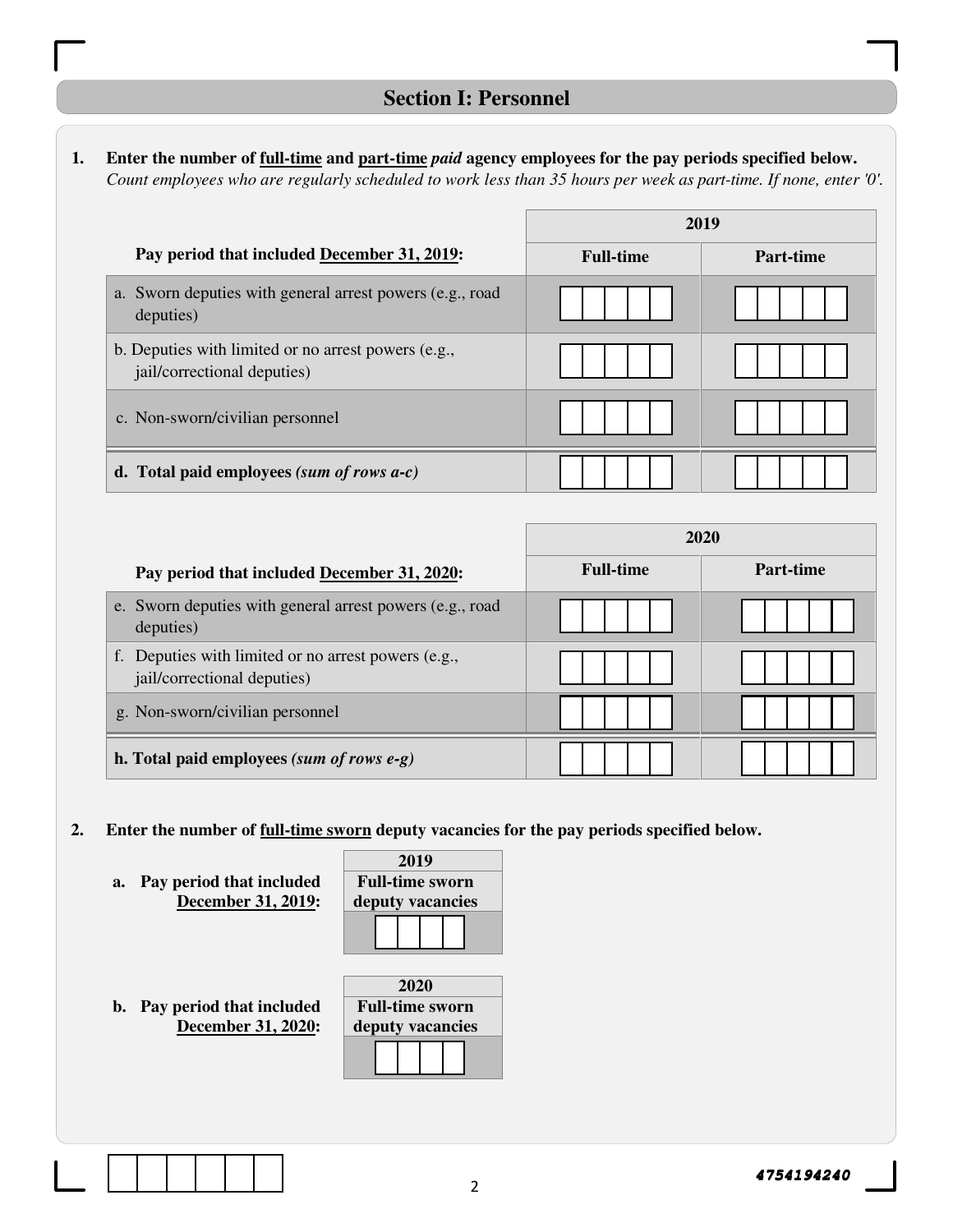#### **1. Enter the number of full-time and part-time** *paid* **agency employees for the pay periods specified below.**  *Count employees who are regularly scheduled to work less than 35 hours per week as part-time. If none, enter '0'.*

|                                                                                    |                  | 2019      |
|------------------------------------------------------------------------------------|------------------|-----------|
| Pay period that included December 31, 2019:                                        | <b>Full-time</b> | Part-time |
| a. Sworn deputies with general arrest powers (e.g., road<br>deputies)              |                  |           |
| b. Deputies with limited or no arrest powers (e.g.,<br>jail/correctional deputies) |                  |           |
| c. Non-sworn/civilian personnel                                                    |                  |           |
| d. Total paid employees (sum of rows $a-c$ )                                       |                  |           |

|                                                                                           |                  | 2020      |
|-------------------------------------------------------------------------------------------|------------------|-----------|
| Pay period that included December 31, 2020:                                               | <b>Full-time</b> | Part-time |
| e. Sworn deputies with general arrest powers (e.g., road<br>deputies)                     |                  |           |
| f. Deputies with limited or no arrest powers (e.g.,<br><i>jail/correctional deputies)</i> |                  |           |
| g. Non-sworn/civilian personnel                                                           |                  |           |
| h. Total paid employees (sum of rows $e-g$ )                                              |                  |           |

- **2. Enter the number of full-time sworn deputy vacancies for the pay periods specified below.** 
	- **a. Pay period that included December 31, 2019:**

|                  | 2019                   |  |  |
|------------------|------------------------|--|--|
|                  | <b>Full-time sworn</b> |  |  |
| deputy vacancies |                        |  |  |
|                  |                        |  |  |
|                  |                        |  |  |

**b. Pay period that included December 31, 2020:** 

|                        | 2020 |  |  |
|------------------------|------|--|--|
| <b>Full-time sworn</b> |      |  |  |
| deputy vacancies       |      |  |  |
|                        |      |  |  |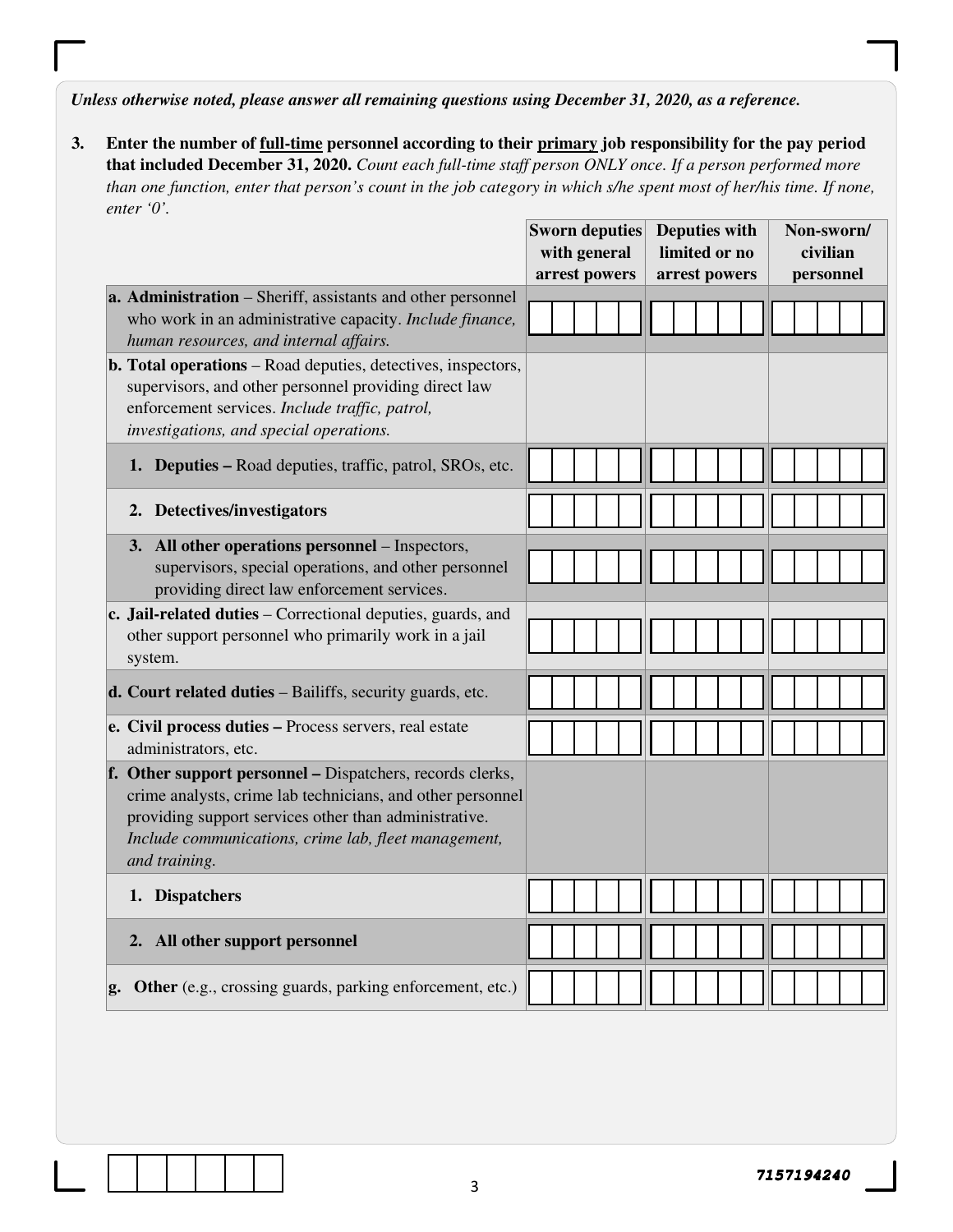*Unless otherwise noted, please answer all remaining questions using December 31, 2020, as a reference.* 

**3. Enter the number of full-time personnel according to their primary job responsibility for the pay period that included December 31, 2020.** *Count each full-time staff person ONLY once. If a person performed more than one function, enter that person's count in the job category in which s/he spent most of her/his time. If none, enter '0'.* 

|                                                                                                                                                                                                                                                           | <b>Sworn deputies</b><br><b>Deputies with</b><br>Non-sworn/ |  |
|-----------------------------------------------------------------------------------------------------------------------------------------------------------------------------------------------------------------------------------------------------------|-------------------------------------------------------------|--|
|                                                                                                                                                                                                                                                           | with general<br>limited or no<br>civilian                   |  |
|                                                                                                                                                                                                                                                           | arrest powers<br>arrest powers<br>personnel                 |  |
| a. Administration – Sheriff, assistants and other personnel<br>who work in an administrative capacity. Include finance,<br>human resources, and internal affairs.                                                                                         |                                                             |  |
| <b>b. Total operations</b> – Road deputies, detectives, inspectors,<br>supervisors, and other personnel providing direct law<br>enforcement services. Include traffic, patrol,<br>investigations, and special operations.                                 |                                                             |  |
| 1. Deputies – Road deputies, traffic, patrol, SROs, etc.                                                                                                                                                                                                  |                                                             |  |
| 2. Detectives/investigators                                                                                                                                                                                                                               |                                                             |  |
| 3. All other operations personnel – Inspectors,<br>supervisors, special operations, and other personnel<br>providing direct law enforcement services.                                                                                                     |                                                             |  |
| c. Jail-related duties - Correctional deputies, guards, and<br>other support personnel who primarily work in a jail<br>system.                                                                                                                            |                                                             |  |
| d. Court related duties - Bailiffs, security guards, etc.                                                                                                                                                                                                 |                                                             |  |
| e. Civil process duties - Process servers, real estate<br>administrators, etc.                                                                                                                                                                            |                                                             |  |
| f. Other support personnel – Dispatchers, records clerks,<br>crime analysts, crime lab technicians, and other personnel<br>providing support services other than administrative.<br>Include communications, crime lab, fleet management,<br>and training. |                                                             |  |
| 1. Dispatchers                                                                                                                                                                                                                                            |                                                             |  |
| 2. All other support personnel                                                                                                                                                                                                                            |                                                             |  |
| Other (e.g., crossing guards, parking enforcement, etc.)<br>g.                                                                                                                                                                                            |                                                             |  |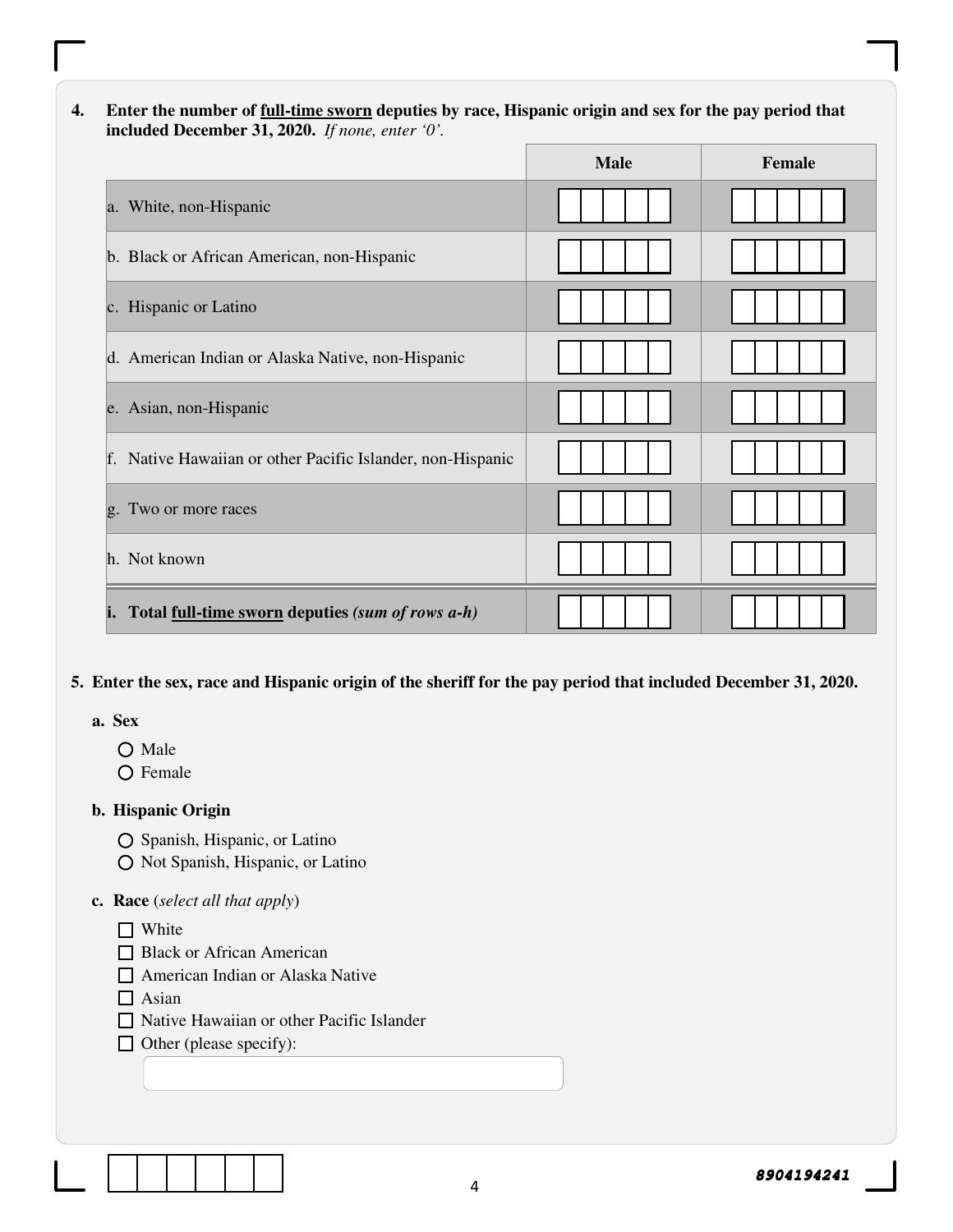#### **4. Enter the number of full-time sworn deputies by race, Hispanic origin and sex for the pay period that included December 31, 2020.** *If none, enter '0'.*

|                                                            | <b>Male</b> | Female |
|------------------------------------------------------------|-------------|--------|
| a. White, non-Hispanic                                     |             |        |
| b. Black or African American, non-Hispanic                 |             |        |
| c. Hispanic or Latino                                      |             |        |
| d. American Indian or Alaska Native, non-Hispanic          |             |        |
| e. Asian, non-Hispanic                                     |             |        |
| f. Native Hawaiian or other Pacific Islander, non-Hispanic |             |        |
| g. Two or more races                                       |             |        |
| h. Not known                                               |             |        |
| i. Total full-time sworn deputies (sum of rows a-h)        |             |        |

#### **5. Enter the sex, race and Hispanic origin of the sheriff for the pay period that included December 31, 2020.**

#### **a. Sex**

- O Male
- O Female

#### **b. Hispanic Origin**

- O Spanish, Hispanic, or Latino
- O Not Spanish, Hispanic, or Latino

#### **c. Race** (*select all that apply*)

- □ White
- **Black or African American**
- American Indian or Alaska Native
- $\Box$  Asian
- Native Hawaiian or other Pacific Islander
- $\Box$  Other (please specify):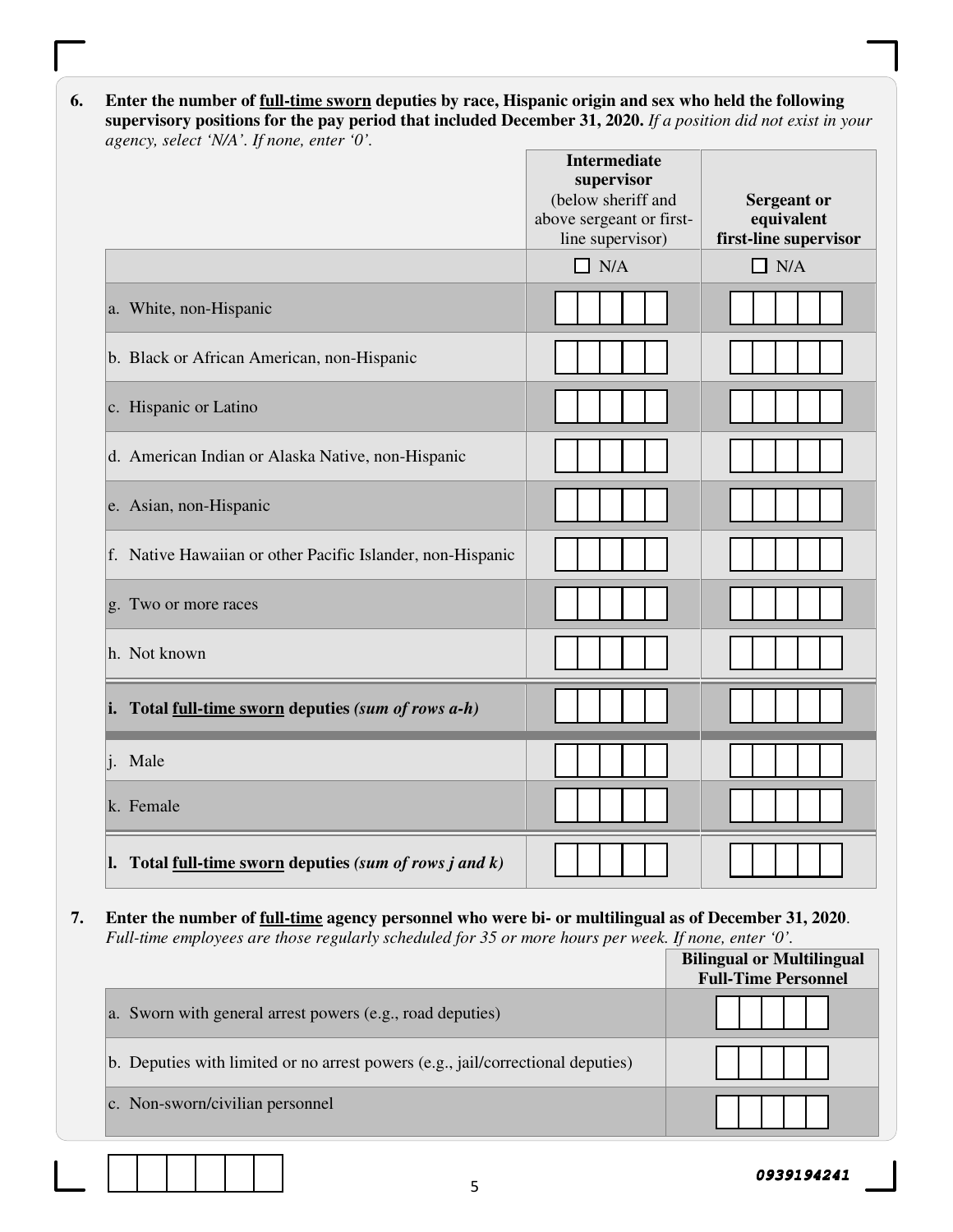**6. Enter the number of full-time sworn deputies by race, Hispanic origin and sex who held the following supervisory positions for the pay period that included December 31, 2020.** *If a position did not exist in your agency, select 'N/A'. If none, enter '0'.*

|                                                            | <b>Intermediate</b><br>supervisor<br>(below sheriff and<br>above sergeant or first-<br>line supervisor) | <b>Sergeant or</b><br>equivalent<br>first-line supervisor |
|------------------------------------------------------------|---------------------------------------------------------------------------------------------------------|-----------------------------------------------------------|
|                                                            | $\Box$ N/A                                                                                              | $\Box$ N/A                                                |
| a. White, non-Hispanic                                     |                                                                                                         |                                                           |
| b. Black or African American, non-Hispanic                 |                                                                                                         |                                                           |
| c. Hispanic or Latino                                      |                                                                                                         |                                                           |
| d. American Indian or Alaska Native, non-Hispanic          |                                                                                                         |                                                           |
| e. Asian, non-Hispanic                                     |                                                                                                         |                                                           |
| f. Native Hawaiian or other Pacific Islander, non-Hispanic |                                                                                                         |                                                           |
| g. Two or more races                                       |                                                                                                         |                                                           |
| h. Not known                                               |                                                                                                         |                                                           |
| i. Total full-time sworn deputies (sum of rows $a-h$ )     |                                                                                                         |                                                           |
| i. Male                                                    |                                                                                                         |                                                           |
| k. Female                                                  |                                                                                                         |                                                           |
| 1. Total full-time sworn deputies (sum of rows j and $k$ ) |                                                                                                         |                                                           |

**7. Enter the number of full-time agency personnel who were bi- or multilingual as of December 31, 2020**. *Full-time employees are those regularly scheduled for 35 or more hours per week. If none, enter '0'.* 

|                                                                                 | <b>Bilingual or Multilingual</b><br><b>Full-Time Personnel</b> |
|---------------------------------------------------------------------------------|----------------------------------------------------------------|
| a. Sworn with general arrest powers (e.g., road deputies)                       |                                                                |
| b. Deputies with limited or no arrest powers (e.g., jail/correctional deputies) |                                                                |
| c. Non-sworn/civilian personnel                                                 |                                                                |

5

**0939194241**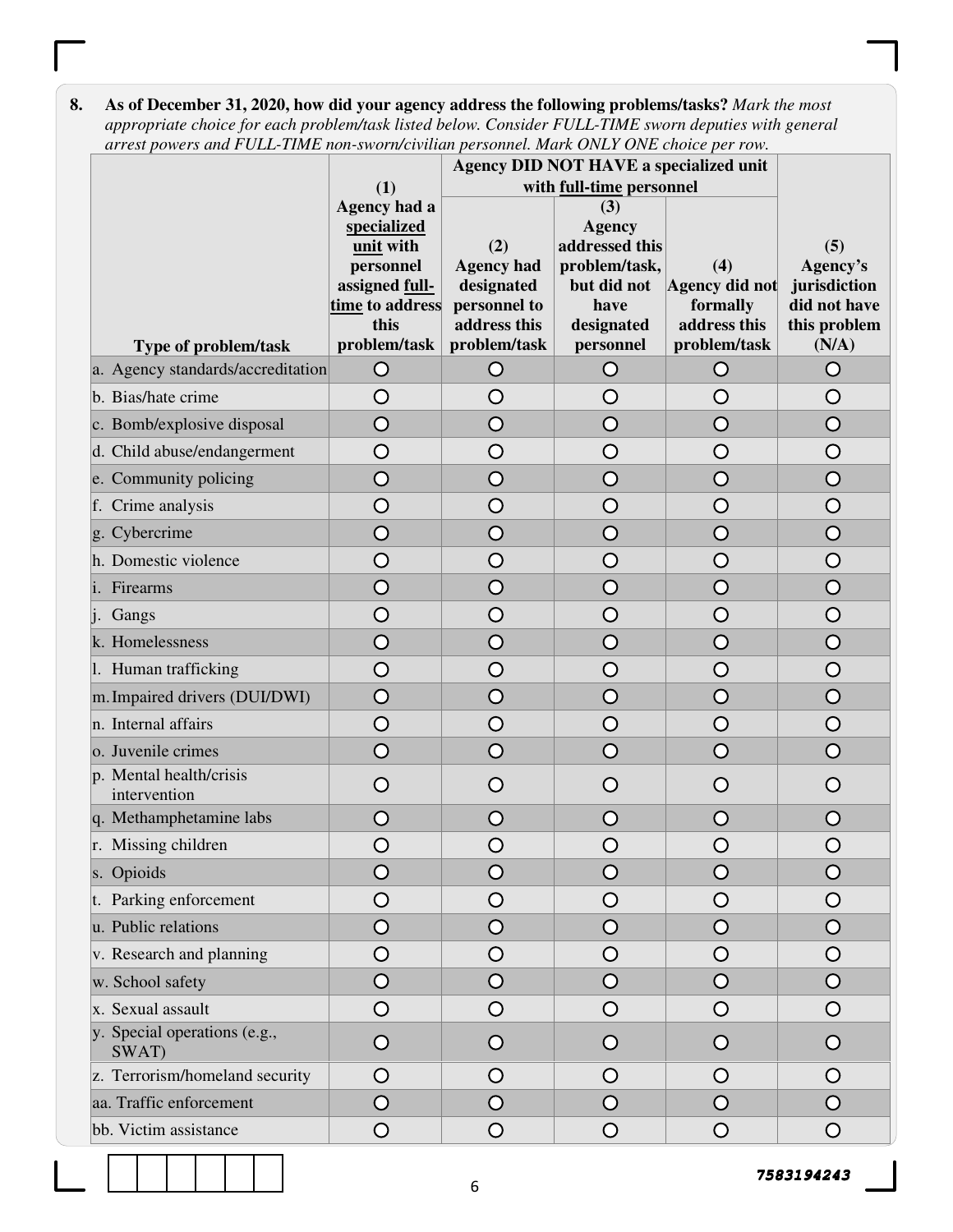| arrest powers and FULL-TIME non-sworn/civilian personnel. Mark ONLY ONE choice per row. |                                                                                                                    |                                                                                        |                                                                                                           |                                                                   |                                                                          |
|-----------------------------------------------------------------------------------------|--------------------------------------------------------------------------------------------------------------------|----------------------------------------------------------------------------------------|-----------------------------------------------------------------------------------------------------------|-------------------------------------------------------------------|--------------------------------------------------------------------------|
|                                                                                         |                                                                                                                    |                                                                                        | Agency DID NOT HAVE a specialized unit                                                                    |                                                                   |                                                                          |
|                                                                                         | (1)                                                                                                                |                                                                                        | with full-time personnel                                                                                  |                                                                   |                                                                          |
| <b>Type of problem/task</b>                                                             | Agency had a<br>specialized<br>unit with<br>personnel<br>assigned full-<br>time to address<br>this<br>problem/task | (2)<br><b>Agency had</b><br>designated<br>personnel to<br>address this<br>problem/task | (3)<br><b>Agency</b><br>addressed this<br>problem/task,<br>but did not<br>have<br>designated<br>personnel | (4)<br>Agency did not<br>formally<br>address this<br>problem/task | (5)<br>Agency's<br>jurisdiction<br>did not have<br>this problem<br>(N/A) |
| a. Agency standards/accreditation                                                       | O                                                                                                                  | O                                                                                      | O                                                                                                         | O                                                                 | O                                                                        |
| b. Bias/hate crime                                                                      | O                                                                                                                  | O                                                                                      | O                                                                                                         | O                                                                 | O                                                                        |
| c. Bomb/explosive disposal                                                              | $\overline{O}$                                                                                                     | $\overline{O}$                                                                         | $\overline{O}$                                                                                            | $\overline{O}$                                                    | $\overline{O}$                                                           |
| d. Child abuse/endangerment                                                             | $\overline{O}$                                                                                                     | O                                                                                      | $\bigcirc$                                                                                                | $\bigcirc$                                                        | $\bigcirc$                                                               |
| e. Community policing                                                                   | $\overline{O}$                                                                                                     | O                                                                                      | $\overline{O}$                                                                                            | $\overline{O}$                                                    | $\bigcirc$                                                               |
| f. Crime analysis                                                                       | $\overline{O}$                                                                                                     | O                                                                                      | $\bigcirc$                                                                                                | $\bigcirc$                                                        | $\bigcirc$                                                               |
| g. Cybercrime                                                                           | $\overline{O}$                                                                                                     | $\bigcirc$                                                                             | $\overline{O}$                                                                                            | $\bigcirc$                                                        | $\overline{O}$                                                           |
| h. Domestic violence                                                                    | $\bigcirc$                                                                                                         | O                                                                                      | $\bigcirc$                                                                                                | O                                                                 | $\bigcirc$                                                               |
| i. Firearms                                                                             | $\overline{O}$                                                                                                     | $\overline{O}$                                                                         | $\overline{O}$                                                                                            | $\overline{O}$                                                    | $\overline{O}$                                                           |
| Gangs                                                                                   | O                                                                                                                  | O                                                                                      | $\bigcirc$                                                                                                | O                                                                 | $\bigcirc$                                                               |
| k. Homelessness                                                                         | $\overline{O}$                                                                                                     | O                                                                                      | $\bigcirc$                                                                                                | O                                                                 | $\bigcirc$                                                               |
| 1. Human trafficking                                                                    | O                                                                                                                  | O                                                                                      | O                                                                                                         | O                                                                 | O                                                                        |
| m. Impaired drivers (DUI/DWI)                                                           | $\overline{O}$                                                                                                     | O                                                                                      | $\overline{O}$                                                                                            | $\bigcirc$                                                        | $\bigcirc$                                                               |
| n. Internal affairs                                                                     | O                                                                                                                  | O                                                                                      | O                                                                                                         | O                                                                 | O                                                                        |
| o. Juvenile crimes                                                                      | $\overline{O}$                                                                                                     | $\overline{O}$                                                                         | $\overline{O}$                                                                                            | $\overline{O}$                                                    | $\overline{O}$                                                           |
| p. Mental health/crisis<br>intervention                                                 | O                                                                                                                  | O                                                                                      | O                                                                                                         | O                                                                 | O                                                                        |
| q. Methamphetamine labs                                                                 | O                                                                                                                  | $\bigcirc$                                                                             | O                                                                                                         | O                                                                 | O                                                                        |
| r. Missing children                                                                     | O                                                                                                                  | O                                                                                      | O                                                                                                         | O                                                                 | O                                                                        |
| s. Opioids                                                                              | $\bigcirc$                                                                                                         | O                                                                                      | $\bigcirc$                                                                                                | O                                                                 | O                                                                        |
| t. Parking enforcement                                                                  | O                                                                                                                  | O                                                                                      | $\circ$                                                                                                   | O                                                                 | O                                                                        |
| u. Public relations                                                                     | $\overline{\mathsf{O}}$                                                                                            | $\overline{O}$                                                                         | $\overline{O}$                                                                                            | $\bigcirc$                                                        | $\bigcirc$                                                               |
| v. Research and planning                                                                | O                                                                                                                  | O                                                                                      | $\bigcirc$                                                                                                | $\circ$                                                           | $\bigcirc$                                                               |
| w. School safety                                                                        | $\bigcirc$                                                                                                         | $\bigcirc$                                                                             | $\bigcirc$                                                                                                | $\bigcirc$                                                        | $\bigcirc$                                                               |
| x. Sexual assault                                                                       | $\bigcirc$                                                                                                         | $\bigcirc$                                                                             | $\circ$                                                                                                   | $\circ$                                                           | $\bigcirc$                                                               |
| y. Special operations (e.g.,<br>SWAT)                                                   | O                                                                                                                  | O                                                                                      | $\circ$                                                                                                   | $\circ$                                                           | O                                                                        |
| z. Terrorism/homeland security                                                          | O                                                                                                                  | O                                                                                      | $\circ$                                                                                                   | O                                                                 | O                                                                        |
| aa. Traffic enforcement                                                                 | $\bigcirc$                                                                                                         | $\bigcirc$                                                                             | $\overline{O}$                                                                                            | $\circ$                                                           | $\bigcirc$                                                               |
| bb. Victim assistance                                                                   | $\bigcirc$                                                                                                         | $\bigcirc$                                                                             | $\bigcirc$                                                                                                | $\bigcirc$                                                        | $\bigcirc$                                                               |

**8. As of December 31, 2020, how did your agency address the following problems/tasks?** *Mark the most appropriate choice for each problem/task listed below. Consider FULL-TIME sworn deputies with general* 

**7583194243**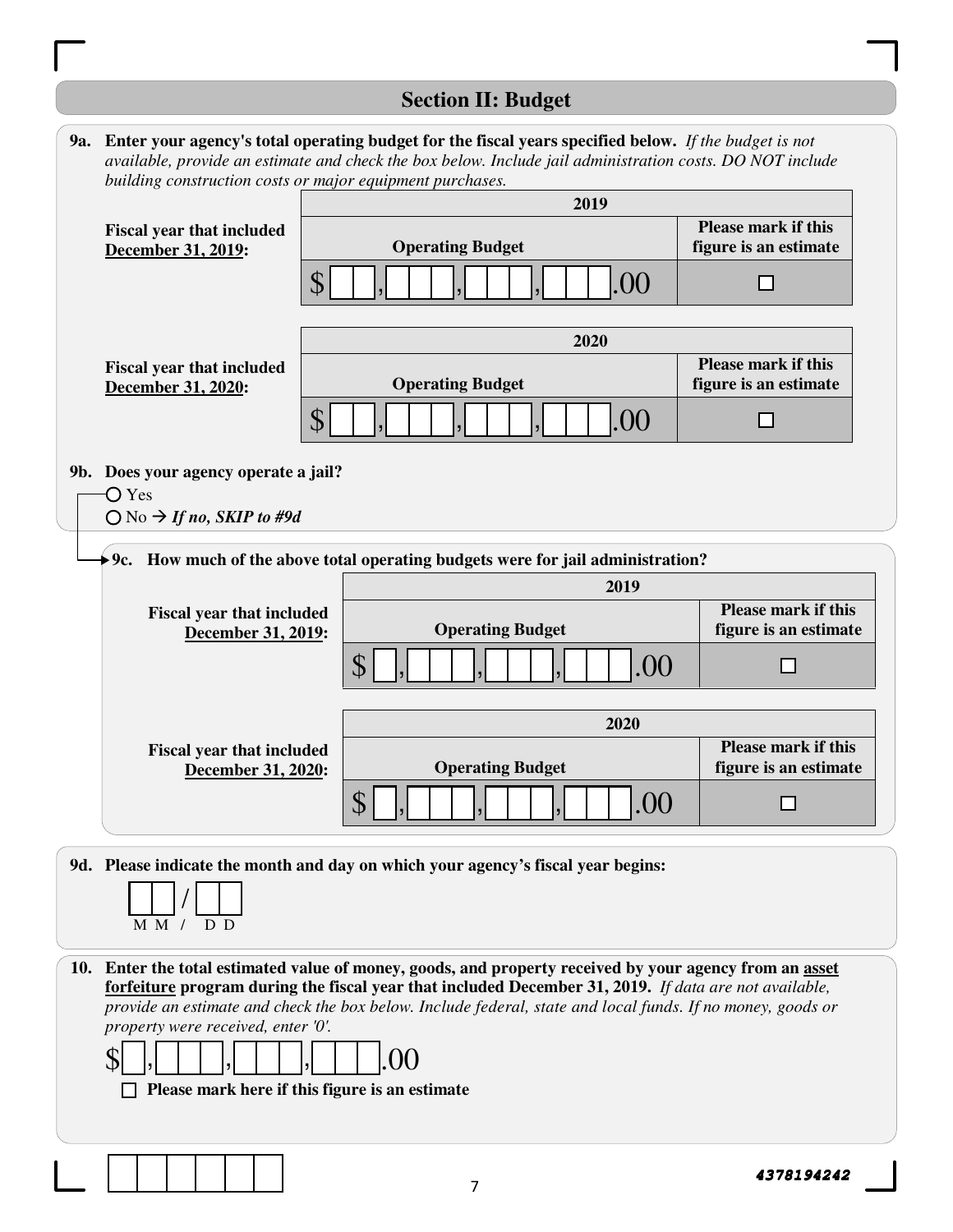# **Section II: Budget**

|                                                                                                              | <b>9a.</b> Enter your agency's total operating budget for the fiscal years specified below. If the budget is not<br>available, provide an estimate and check the box below. Include jail administration costs. DO NOT include<br>building construction costs or major equipment purchases.                                                                                             |                                                     |
|--------------------------------------------------------------------------------------------------------------|----------------------------------------------------------------------------------------------------------------------------------------------------------------------------------------------------------------------------------------------------------------------------------------------------------------------------------------------------------------------------------------|-----------------------------------------------------|
|                                                                                                              | 2019                                                                                                                                                                                                                                                                                                                                                                                   |                                                     |
| <b>Fiscal year that included</b><br>December 31, 2019:                                                       | <b>Operating Budget</b>                                                                                                                                                                                                                                                                                                                                                                | <b>Please mark if this</b><br>figure is an estimate |
|                                                                                                              | ${\cal S}$<br>.00                                                                                                                                                                                                                                                                                                                                                                      |                                                     |
|                                                                                                              | 2020                                                                                                                                                                                                                                                                                                                                                                                   |                                                     |
| <b>Fiscal year that included</b>                                                                             | <b>Operating Budget</b>                                                                                                                                                                                                                                                                                                                                                                | <b>Please mark if this</b><br>figure is an estimate |
| December 31, 2020:                                                                                           | ${\mathbb S}$<br>.00                                                                                                                                                                                                                                                                                                                                                                   |                                                     |
| 9b. Does your agency operate a jail?<br>$\overline{O}$ Yes<br>$\bigcirc$ No $\rightarrow$ If no, SKIP to #9d |                                                                                                                                                                                                                                                                                                                                                                                        |                                                     |
|                                                                                                              | $\blacktriangleright$ 9c. How much of the above total operating budgets were for jail administration?                                                                                                                                                                                                                                                                                  |                                                     |
| <b>Fiscal year that included</b><br>December 31, 2019:                                                       | 2019<br><b>Operating Budget</b>                                                                                                                                                                                                                                                                                                                                                        | <b>Please mark if this</b><br>figure is an estimate |
|                                                                                                              | ${\cal S}$<br>.00                                                                                                                                                                                                                                                                                                                                                                      |                                                     |
|                                                                                                              | 2020                                                                                                                                                                                                                                                                                                                                                                                   |                                                     |
| <b>Fiscal year that included</b><br>December 31, 2020:                                                       | <b>Operating Budget</b>                                                                                                                                                                                                                                                                                                                                                                | <b>Please mark if this</b><br>figure is an estimate |
|                                                                                                              | $\textcolor{red}{\textcircled{\small\tt{5}}$<br>.OO                                                                                                                                                                                                                                                                                                                                    |                                                     |
| M M / D D                                                                                                    | 9d. Please indicate the month and day on which your agency's fiscal year begins:                                                                                                                                                                                                                                                                                                       |                                                     |
| property were received, enter '0'.                                                                           | 10. Enter the total estimated value of money, goods, and property received by your agency from an asset<br>forfeiture program during the fiscal year that included December 31, 2019. If data are not available,<br>provide an estimate and check the box below. Include federal, state and local funds. If no money, goods or<br>00<br>Please mark here if this figure is an estimate |                                                     |

 $\mathbf{L}$ 

**4378194242**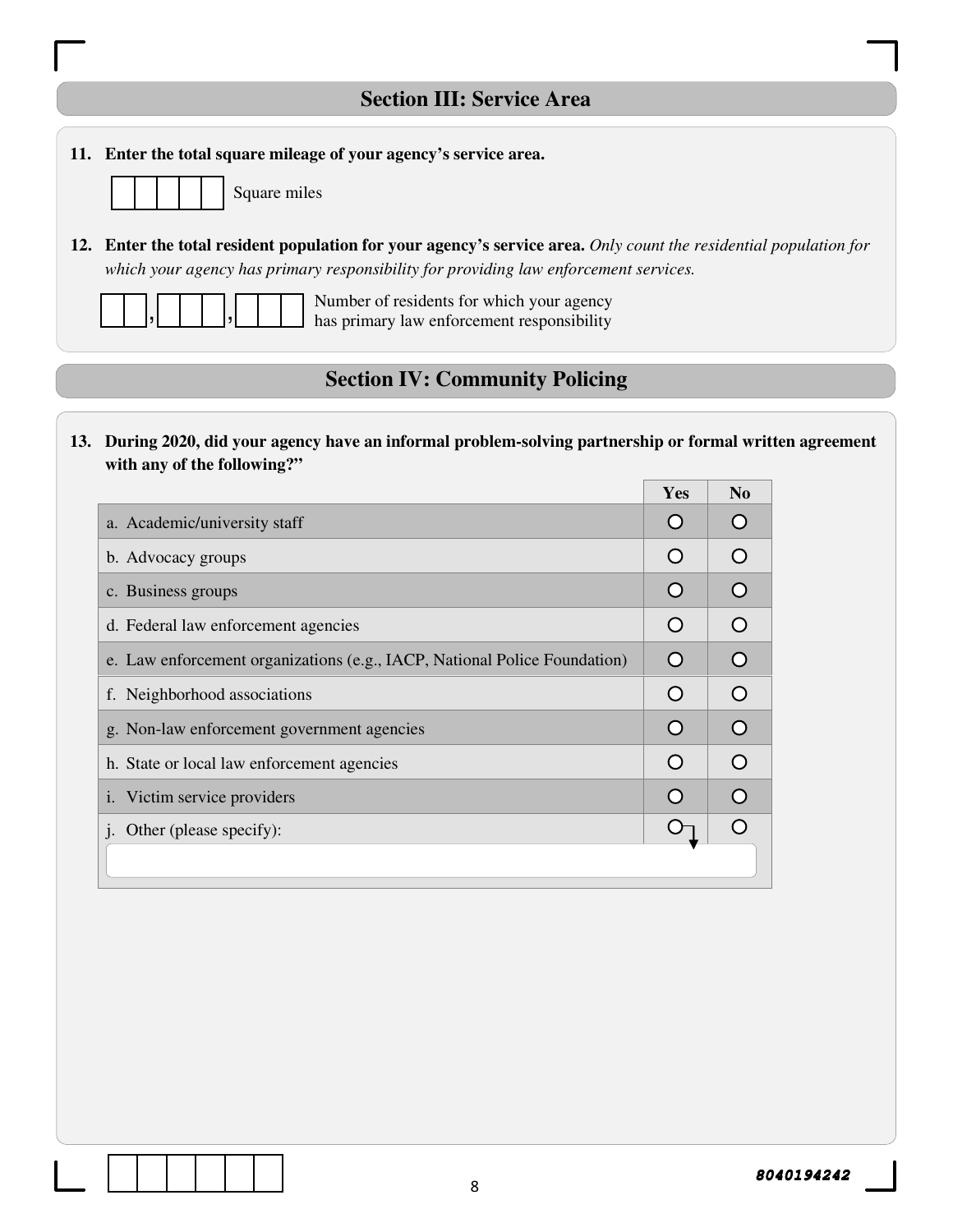| 11. Enter the total square mileage of your agency's service area.                                                                                                                                         |                |                     |                                                                                                           |
|-----------------------------------------------------------------------------------------------------------------------------------------------------------------------------------------------------------|----------------|---------------------|-----------------------------------------------------------------------------------------------------------|
| Square miles                                                                                                                                                                                              |                |                     |                                                                                                           |
| 12. Enter the total resident population for your agency's service area. Only count the residential population for<br>which your agency has primary responsibility for providing law enforcement services. |                |                     |                                                                                                           |
| Number of residents for which your agency<br>has primary law enforcement responsibility                                                                                                                   |                |                     |                                                                                                           |
| <b>Section IV: Community Policing</b>                                                                                                                                                                     |                |                     |                                                                                                           |
| with any of the following?"                                                                                                                                                                               |                |                     |                                                                                                           |
|                                                                                                                                                                                                           |                |                     |                                                                                                           |
| a. Academic/university staff                                                                                                                                                                              | Yes<br>$\circ$ | N <sub>0</sub><br>O | 13. During 2020, did your agency have an informal problem-solving partnership or formal written agreement |
| b. Advocacy groups                                                                                                                                                                                        | $\circ$        | O                   |                                                                                                           |
| c. Business groups                                                                                                                                                                                        | $\circ$        | O                   |                                                                                                           |
| d. Federal law enforcement agencies                                                                                                                                                                       | $\circ$        | O                   |                                                                                                           |
| e. Law enforcement organizations (e.g., IACP, National Police Foundation)                                                                                                                                 | $\circ$        | O                   |                                                                                                           |
| f. Neighborhood associations                                                                                                                                                                              | $\bigcirc$     | O                   |                                                                                                           |
| g. Non-law enforcement government agencies                                                                                                                                                                | O              | $\bigcirc$          |                                                                                                           |
| h. State or local law enforcement agencies                                                                                                                                                                | O              | O                   |                                                                                                           |
| Victim service providers<br>1.                                                                                                                                                                            | O              | O                   |                                                                                                           |

 $\boxed{\phantom{12.6.0\textwidth}}$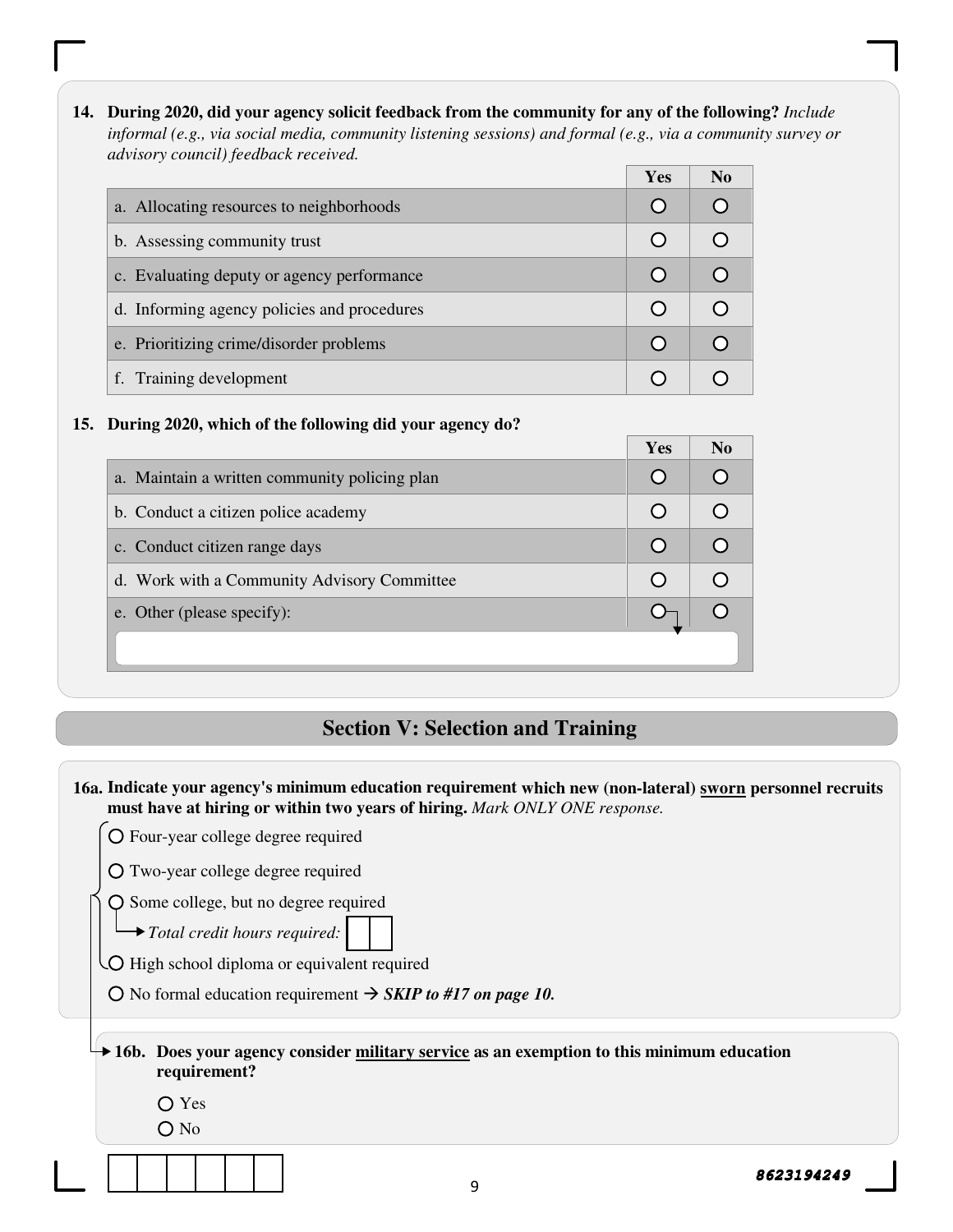**14. During 2020, did your agency solicit feedback from the community for any of the following?** *Include informal (e.g., via social media, community listening sessions) and formal (e.g., via a community survey or advisory council) feedback received.*

|                                             | <b>Yes</b> | N <sub>0</sub> |
|---------------------------------------------|------------|----------------|
| a. Allocating resources to neighborhoods    |            |                |
| b. Assessing community trust                |            |                |
| c. Evaluating deputy or agency performance  |            |                |
| d. Informing agency policies and procedures |            |                |
| e. Prioritizing crime/disorder problems     |            |                |
| f. Training development                     |            |                |

#### **15. During 2020, which of the following did your agency do?**

|                                               | Yes | N <sub>0</sub> |
|-----------------------------------------------|-----|----------------|
| a. Maintain a written community policing plan |     |                |
| b. Conduct a citizen police academy           |     |                |
| c. Conduct citizen range days                 |     |                |
| d. Work with a Community Advisory Committee   |     |                |
| e. Other (please specify):                    |     |                |
|                                               |     |                |
|                                               |     |                |

#### **Section V: Selection and Training**

O Some college, but no degree required

*Total credit hours required:* 

O High school diploma or equivalent required

O No formal education requirement  $\rightarrow$  *SKIP to #17 on page 10.* 

**16b. Does your agency consider military service as an exemption to this minimum education requirement?** 

Yes

O No

**<sup>16</sup>a. Indicate your agency's minimum education requirement which new (non-lateral) sworn personnel recruits must have at hiring or within two years of hiring.** *Mark ONLY ONE response.* 

Four-year college degree required

Two-year college degree required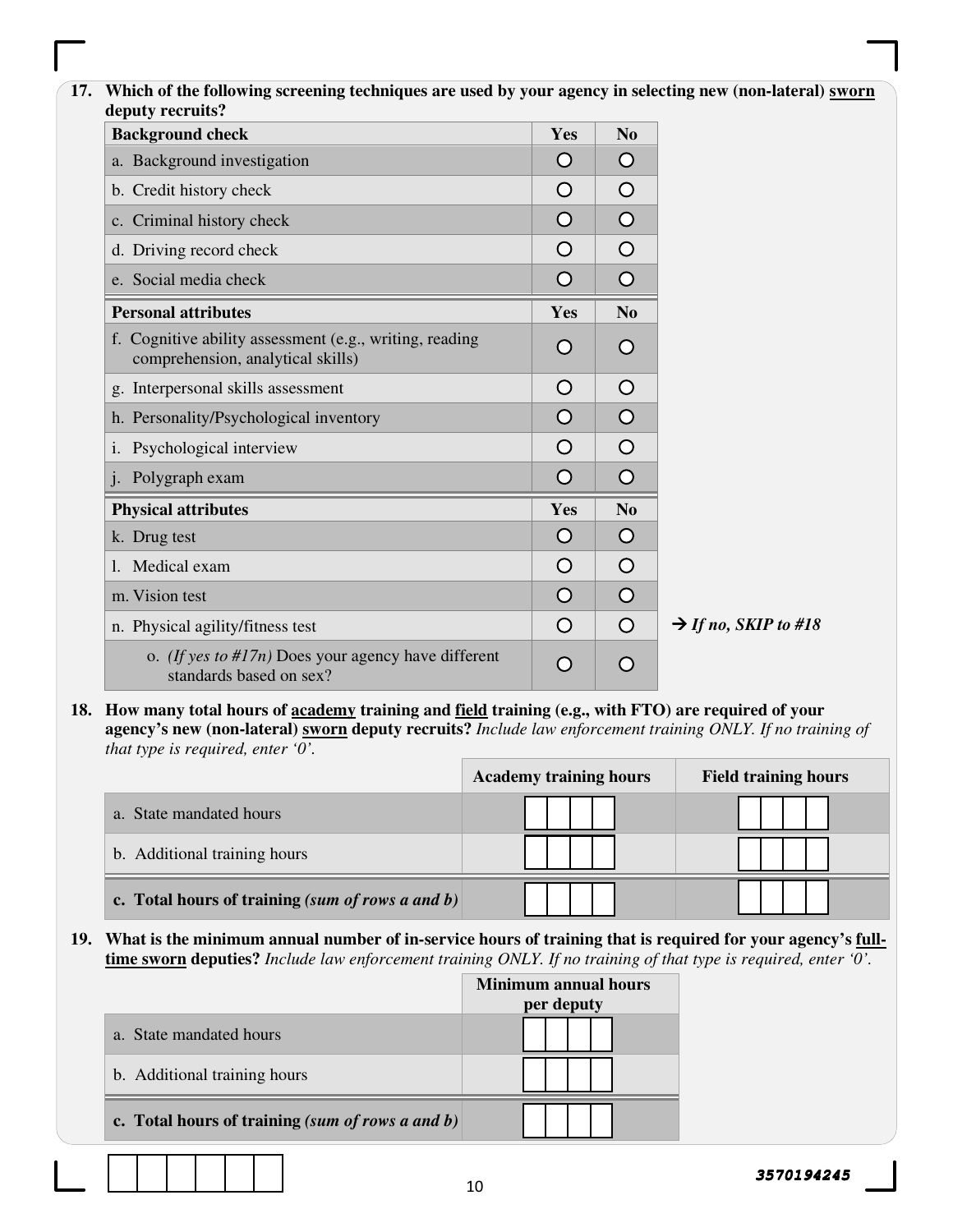#### **17. Which of the following screening techniques are used by your agency in selecting new (non-lateral) sworn deputy recruits?**

| <b>Background check</b>                                                                      | Yes        | N <sub>0</sub> |                                  |
|----------------------------------------------------------------------------------------------|------------|----------------|----------------------------------|
| a. Background investigation                                                                  | Ő          | Ő              |                                  |
| b. Credit history check                                                                      | O          | $\circ$        |                                  |
| c. Criminal history check                                                                    | O          | $\bigcirc$     |                                  |
| d. Driving record check                                                                      | O          | $\bigcirc$     |                                  |
| e. Social media check                                                                        | O          | $\bigcirc$     |                                  |
| <b>Personal attributes</b>                                                                   | Yes        | N <sub>o</sub> |                                  |
| f. Cognitive ability assessment (e.g., writing, reading<br>comprehension, analytical skills) | $\circ$    | O              |                                  |
| g. Interpersonal skills assessment                                                           | $\circ$    | $\bigcirc$     |                                  |
| h. Personality/Psychological inventory                                                       | $\bigcirc$ | $\circ$        |                                  |
| i. Psychological interview                                                                   | O          | $\bigcirc$     |                                  |
| Polygraph exam<br>$\mathbf{i}$ .                                                             | O          | $\bigcirc$     |                                  |
| <b>Physical attributes</b>                                                                   | Yes        | N <sub>0</sub> |                                  |
| k. Drug test                                                                                 | $\bigcirc$ | $\circ$        |                                  |
| Medical exam<br>$\mathbf{1}$ .                                                               | O          | $\circ$        |                                  |
| m. Vision test                                                                               | O          | $\bigcirc$     |                                  |
| n. Physical agility/fitness test                                                             | O          | $\circ$        | $\rightarrow$ If no, SKIP to #18 |
| o. <i>(If yes to #17n)</i> Does your agency have different<br>standards based on sex?        | O          | O              |                                  |

**18. How many total hours of academy training and field training (e.g., with FTO) are required of your agency's new (non-lateral) sworn deputy recruits?** *Include law enforcement training ONLY. If no training of that type is required, enter '0'.* 

|                                                     | <b>Academy training hours</b> | <b>Field training hours</b> |
|-----------------------------------------------------|-------------------------------|-----------------------------|
| a. State mandated hours                             |                               |                             |
| b. Additional training hours                        |                               |                             |
| c. Total hours of training (sum of rows a and $b$ ) |                               |                             |

**19. What is the minimum annual number of in-service hours of training that is required for your agency's fulltime sworn deputies?** *Include law enforcement training ONLY. If no training of that type is required, enter '0'.* 

|                                                    | <b>Minimum annual hours</b><br>per deputy |
|----------------------------------------------------|-------------------------------------------|
| a. State mandated hours                            |                                           |
| b. Additional training hours                       |                                           |
| c. Total hours of training $(sum of rows a and b)$ |                                           |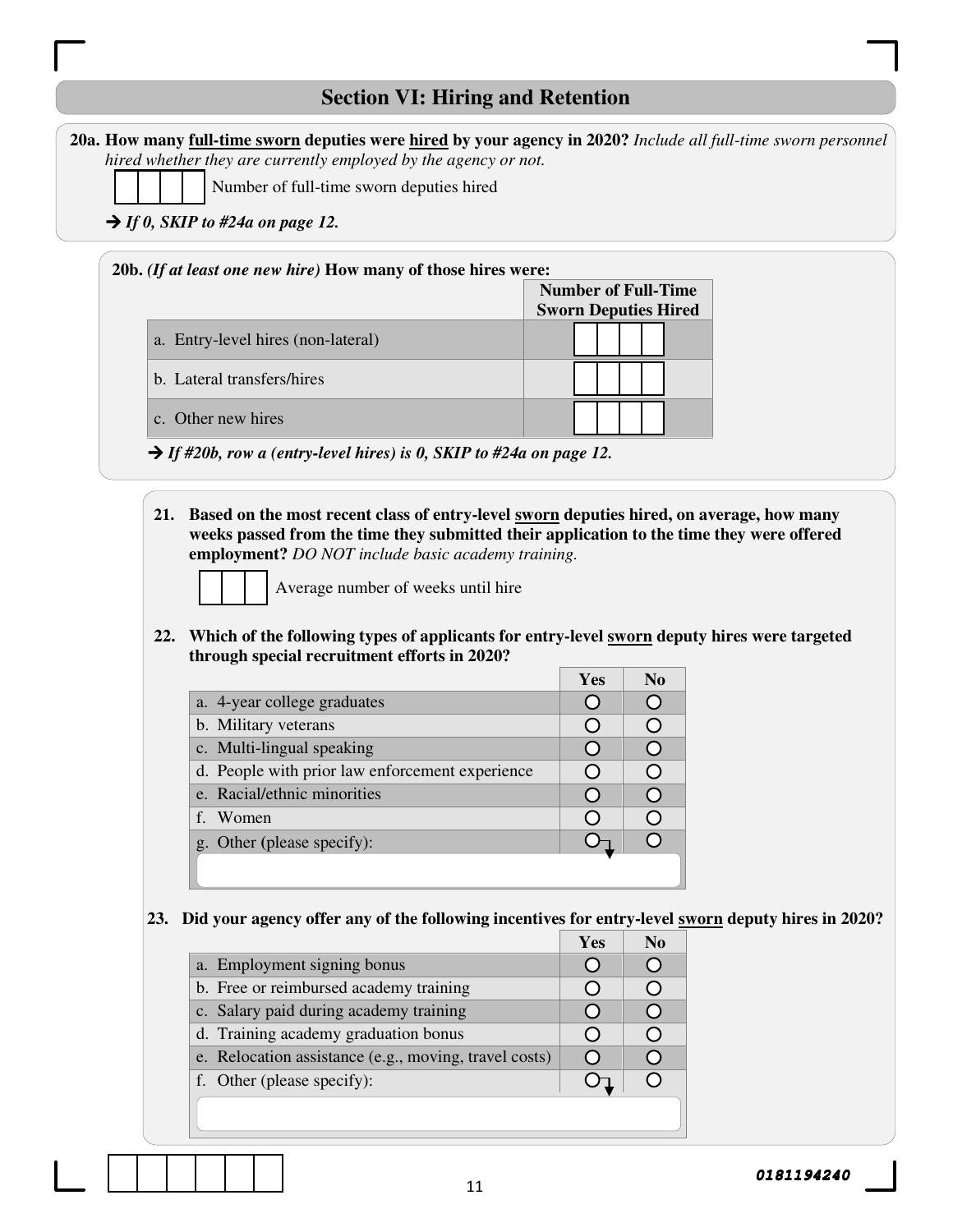## **Section VI: Hiring and Retention**

| 20a. How many full-time sworn deputies were hired by your agency in 2020? Include all full-time sworn personnel |
|-----------------------------------------------------------------------------------------------------------------|
| hired whether they are currently employed by the agency or not.                                                 |
|                                                                                                                 |

Number of full-time sworn deputies hired

 $\rightarrow$  *If 0, SKIP to #24a on page 12.* 

#### **20b.** *(If at least one new hire)* **How many of those hires were:**

|                                    | <b>Number of Full-Time</b>  |  |  |
|------------------------------------|-----------------------------|--|--|
|                                    | <b>Sworn Deputies Hired</b> |  |  |
| a. Entry-level hires (non-lateral) |                             |  |  |
| b. Lateral transfers/hires         |                             |  |  |
| c. Other new hires                 |                             |  |  |

*If #20b, row a (entry-level hires) is 0, SKIP to #24a on page 12.* 

**21. Based on the most recent class of entry-level sworn deputies hired, on average, how many weeks passed from the time they submitted their application to the time they were offered employment?** *DO NOT include basic academy training.* 



Average number of weeks until hire

**22. Which of the following types of applicants for entry-level sworn deputy hires were targeted through special recruitment efforts in 2020?** 

| a. 4-year college graduates                     |  |
|-------------------------------------------------|--|
| b. Military veterans                            |  |
| c. Multi-lingual speaking                       |  |
| d. People with prior law enforcement experience |  |
| e. Racial/ethnic minorities                     |  |
| f. Women                                        |  |
| g. Other (please specify):                      |  |
|                                                 |  |

#### **23. Did your agency offer any of the following incentives for entry-level sworn deputy hires in 2020?**

|                                                       | Yes | No |
|-------------------------------------------------------|-----|----|
| a. Employment signing bonus                           |     |    |
| b. Free or reimbursed academy training                |     |    |
| c. Salary paid during academy training                |     |    |
| d. Training academy graduation bonus                  |     |    |
| e. Relocation assistance (e.g., moving, travel costs) |     |    |
| f. Other (please specify):                            |     |    |
|                                                       |     |    |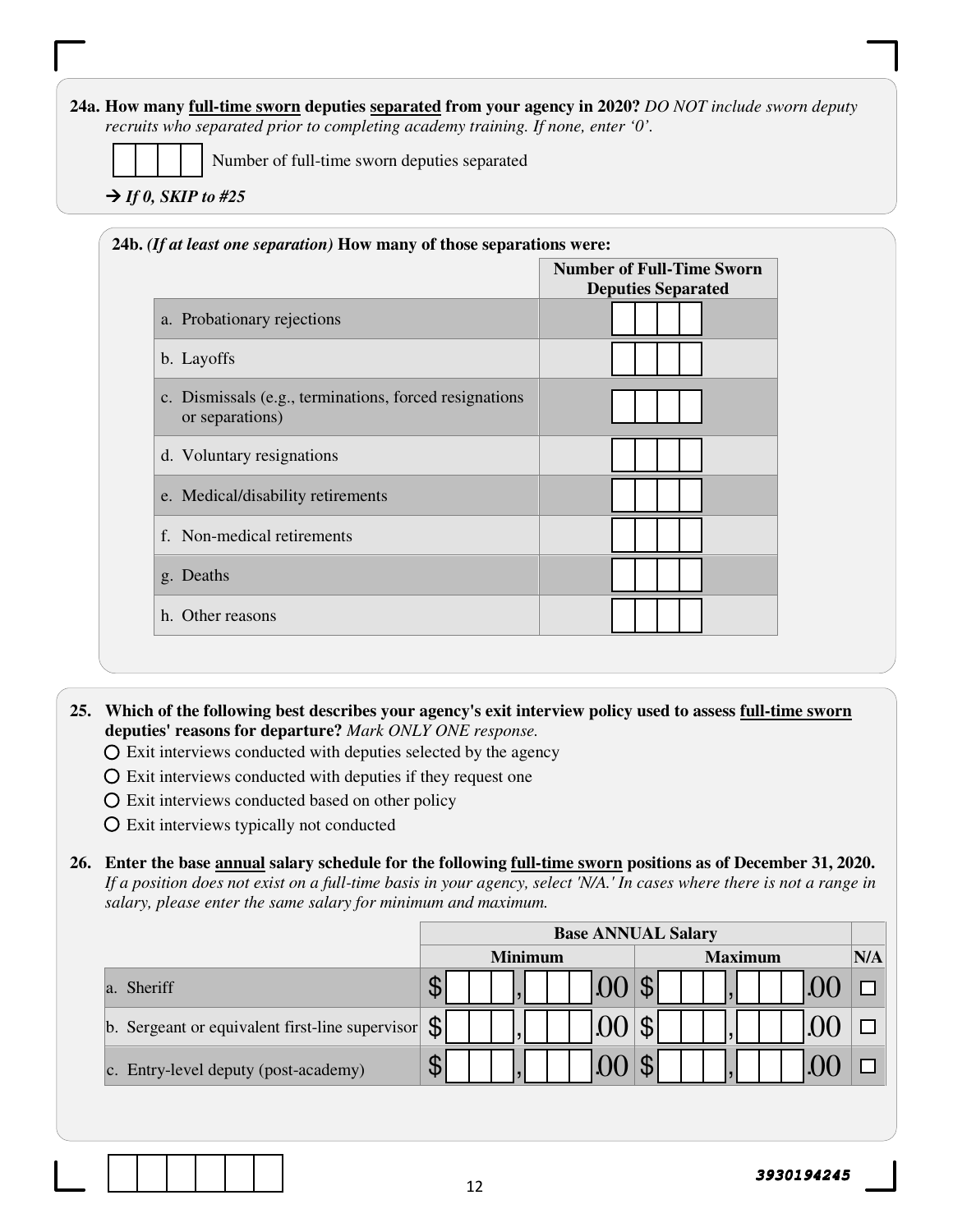#### **24a. How many full-time sworn deputies separated from your agency in 2020?** *DO NOT include sworn deputy recruits who separated prior to completing academy training. If none, enter '0'.*

Number of full-time sworn deputies separated

 $\rightarrow$  *If 0, SKIP to #25* 

|                                                                            | <b>Number of Full-Time Sworn</b><br><b>Deputies Separated</b> |
|----------------------------------------------------------------------------|---------------------------------------------------------------|
| a. Probationary rejections                                                 |                                                               |
| b. Layoffs                                                                 |                                                               |
| c. Dismissals (e.g., terminations, forced resignations)<br>or separations) |                                                               |
| d. Voluntary resignations                                                  |                                                               |
| e. Medical/disability retirements                                          |                                                               |
| f. Non-medical retirements                                                 |                                                               |
| g. Deaths                                                                  |                                                               |
| h. Other reasons                                                           |                                                               |

**25. Which of the following best describes your agency's exit interview policy used to assess full-time sworn deputies' reasons for departure?** *Mark ONLY ONE response.*

- $\overline{O}$  Exit interviews conducted with deputies selected by the agency
- $\overline{O}$  Exit interviews conducted with deputies if they request one
- Exit interviews conducted based on other policy
- Exit interviews typically not conducted

**26. Enter the base annual salary schedule for the following full-time sworn positions as of December 31, 2020.**  *If a position does not exist on a full-time basis in your agency, select 'N/A.' In cases where there is not a range in salary, please enter the same salary for minimum and maximum.* 

|                                                 | <b>Base ANNUAL Salary</b>        |     |  |
|-------------------------------------------------|----------------------------------|-----|--|
|                                                 | <b>Minimum</b><br><b>Maximum</b> | N/A |  |
| Sheriff<br>la.                                  |                                  |     |  |
| b. Sergeant or equivalent first-line supervisor | $\mathfrak{F}$                   |     |  |
| c. Entry-level deputy (post-academy)            |                                  |     |  |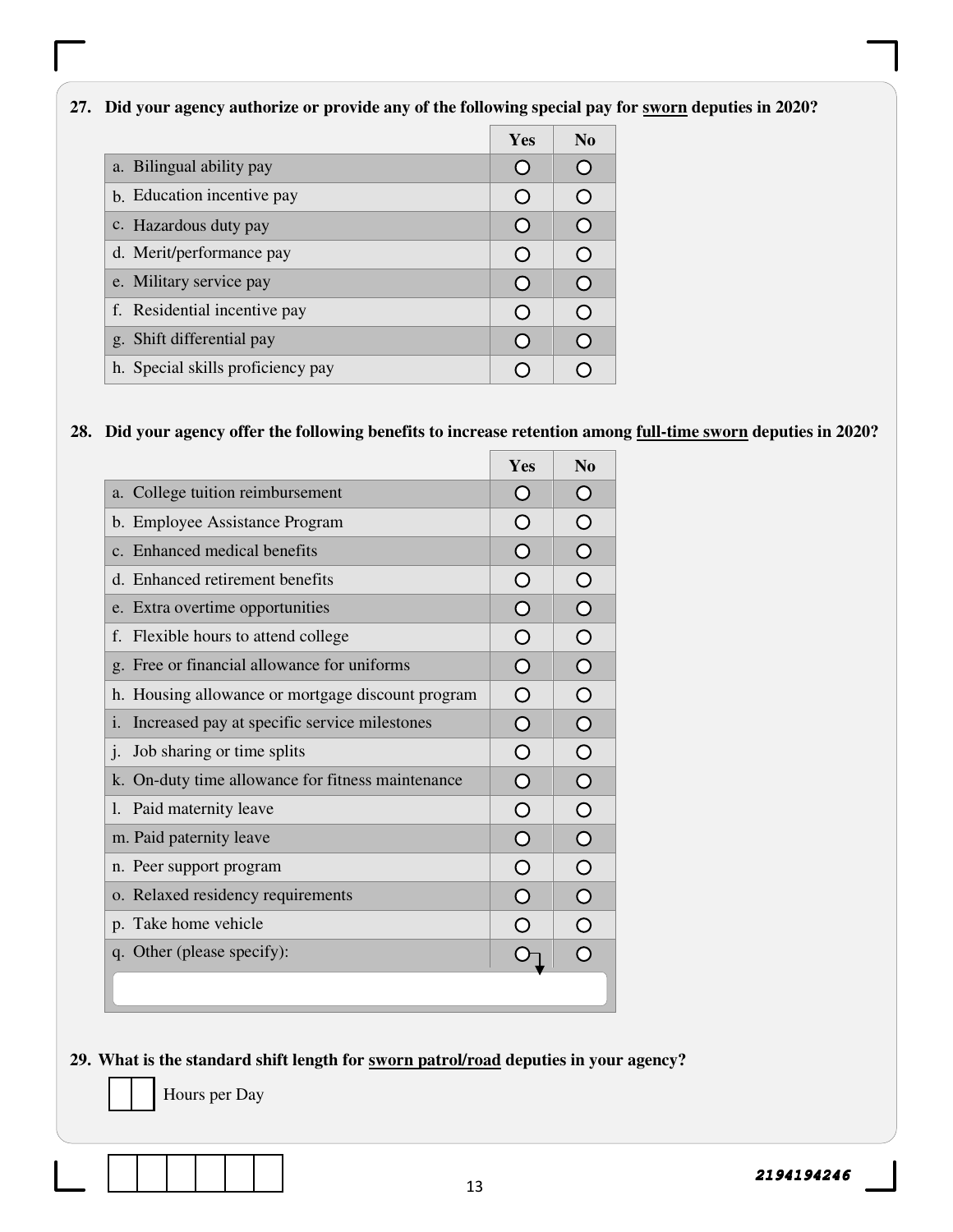#### **27. Did your agency authorize or provide any of the following special pay for sworn deputies in 2020?**

|                                   | Yes | $\bf N$ <sub>0</sub> |
|-----------------------------------|-----|----------------------|
| a. Bilingual ability pay          |     | ( )                  |
| b. Education incentive pay        |     | $\bm{O}$             |
| c. Hazardous duty pay             |     | ∩                    |
| d. Merit/performance pay          |     | $\curvearrowleft$    |
| e. Military service pay           |     | ∩                    |
| f. Residential incentive pay      |     | €≚                   |
| g. Shift differential pay         |     | ∩                    |
| h. Special skills proficiency pay |     |                      |

#### **28. Did your agency offer the following benefits to increase retention among full-time sworn deputies in 2020?**

|                                                    | Yes            | N <sub>o</sub>        |
|----------------------------------------------------|----------------|-----------------------|
| a. College tuition reimbursement                   | $\bigcap$      | $\bigcirc$            |
| b. Employee Assistance Program                     | O              | $\bigcirc$            |
| c. Enhanced medical benefits                       | $\Omega$       | $\bigcirc$            |
| d. Enhanced retirement benefits                    | O              | $\bigcirc$            |
| e. Extra overtime opportunities                    | $\overline{O}$ | $\bigcirc$            |
| f. Flexible hours to attend college                | $\overline{O}$ | $\bigcirc$            |
| g. Free or financial allowance for uniforms        | $\overline{O}$ | $\overline{O}$        |
| h. Housing allowance or mortgage discount program  | $\bigcirc$     | $\overline{O}$        |
| Increased pay at specific service milestones<br>i. | $\overline{O}$ | $\overline{O}$        |
| $\mathbf{j}$ .<br>Job sharing or time splits       | O              | $\overline{O}$        |
| k. On-duty time allowance for fitness maintenance  | $\Omega$       | $\overline{O}$        |
| Paid maternity leave<br>1.                         | O              | $\bigcirc$            |
| m. Paid paternity leave                            | $\Omega$       | $\overline{O}$        |
| n. Peer support program                            | $\bigcirc$     | $\bigcirc$            |
| o. Relaxed residency requirements                  | $\overline{O}$ | $\overline{\bigcirc}$ |
| p. Take home vehicle                               | $\bigcirc$     | $\overline{O}$        |
| q. Other (please specify):                         |                | $\overline{O}$        |
|                                                    |                |                       |

#### **29. What is the standard shift length for sworn patrol/road deputies in your agency?**

Hours per Day

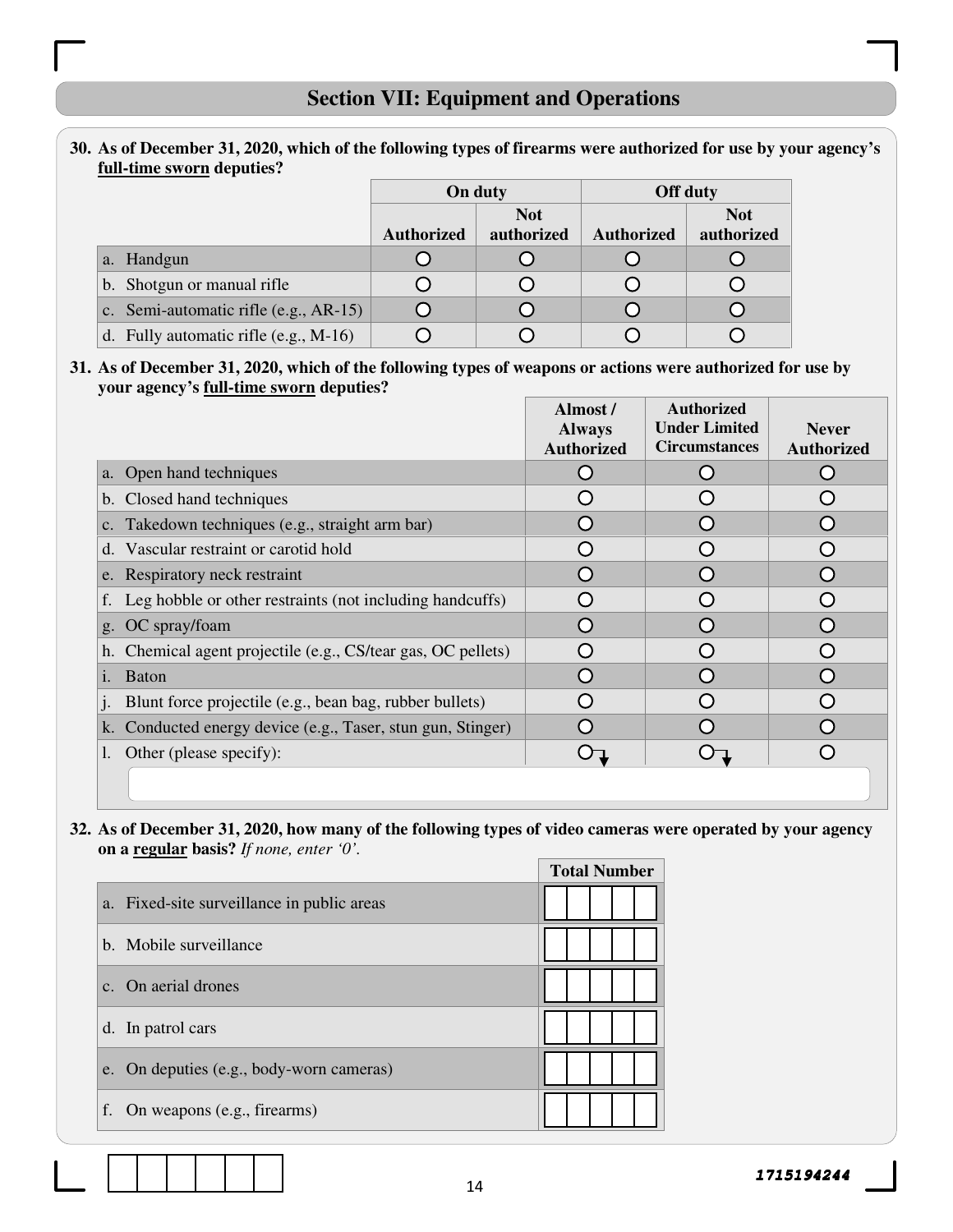## **Section VII: Equipment and Operations**

#### **30. As of December 31, 2020, which of the following types of firearms were authorized for use by your agency's full-time sworn deputies?**

|                                         | On duty           |                          |                   | <b>Off duty</b>          |  |
|-----------------------------------------|-------------------|--------------------------|-------------------|--------------------------|--|
|                                         | <b>Authorized</b> | <b>Not</b><br>authorized | <b>Authorized</b> | <b>Not</b><br>authorized |  |
| Handgun<br>a.                           |                   |                          |                   |                          |  |
| b. Shotgun or manual rifle              |                   |                          |                   |                          |  |
| c. Semi-automatic rifle $(e.g., AR-15)$ |                   |                          |                   |                          |  |
| d. Fully automatic rifle $(e.g., M-16)$ |                   |                          |                   |                          |  |

#### **31. As of December 31, 2020, which of the following types of weapons or actions were authorized for use by your agency's full-time sworn deputies?**

|                                                              | Almost /<br><b>Always</b><br><b>Authorized</b> | <b>Authorized</b><br><b>Under Limited</b><br><b>Circumstances</b> | <b>Never</b><br><b>Authorized</b> |
|--------------------------------------------------------------|------------------------------------------------|-------------------------------------------------------------------|-----------------------------------|
| a. Open hand techniques                                      |                                                |                                                                   |                                   |
| b. Closed hand techniques                                    |                                                |                                                                   |                                   |
| c. Takedown techniques (e.g., straight arm bar)              |                                                |                                                                   |                                   |
| d. Vascular restraint or carotid hold                        |                                                |                                                                   |                                   |
| e. Respiratory neck restraint                                |                                                |                                                                   |                                   |
| f. Leg hobble or other restraints (not including handcuffs)  |                                                |                                                                   |                                   |
| g. OC spray/foam                                             |                                                |                                                                   |                                   |
| h. Chemical agent projectile (e.g., CS/tear gas, OC pellets) |                                                |                                                                   |                                   |
| <b>Baton</b><br>i.                                           | $\cap$                                         |                                                                   |                                   |
| Blunt force projectile (e.g., bean bag, rubber bullets)      |                                                |                                                                   |                                   |
| k. Conducted energy device (e.g., Taser, stun gun, Stinger)  |                                                |                                                                   |                                   |
| Other (please specify):                                      |                                                |                                                                   |                                   |
|                                                              |                                                |                                                                   |                                   |

#### **32. As of December 31, 2020, how many of the following types of video cameras were operated by your agency on a regular basis?** *If none, enter '0'.*

|                                            | <b>Total Number</b> |
|--------------------------------------------|---------------------|
| a. Fixed-site surveillance in public areas |                     |
| b. Mobile surveillance                     |                     |
| c. On aerial drones                        |                     |
| d. In patrol cars                          |                     |
| e. On deputies (e.g., body-worn cameras)   |                     |
| On weapons (e.g., firearms)<br>f.          |                     |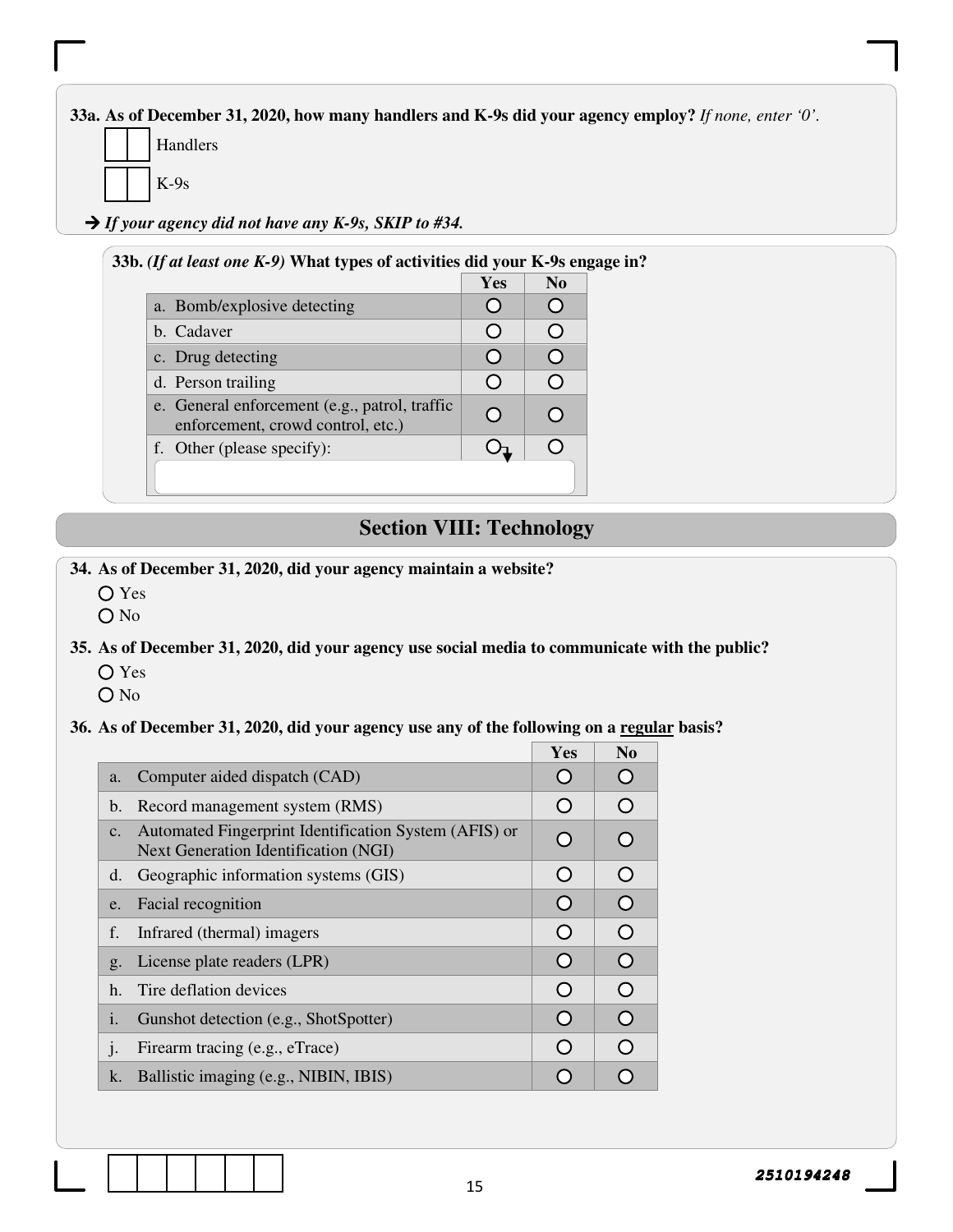**33a. As of December 31, 2020, how many handlers and K-9s did your agency employ?** *If none, enter '0'.*

- Handlers
- K-9s

*If your agency did not have any K-9s, SKIP to #34.* 

#### **33b.** *(If at least one K-9)* **What types of activities did your K-9s engage in?**

|                                                                                    | <b>Yes</b> | No |
|------------------------------------------------------------------------------------|------------|----|
| a. Bomb/explosive detecting                                                        |            |    |
| b. Cadaver                                                                         |            |    |
| c. Drug detecting                                                                  |            |    |
| d. Person trailing                                                                 |            |    |
| e. General enforcement (e.g., patrol, traffic<br>enforcement, crowd control, etc.) |            |    |
| f. Other (please specify):                                                         |            |    |
|                                                                                    |            |    |

## **Section VIII: Technology**

**34. As of December 31, 2020, did your agency maintain a website?** 

- Yes
- O No

#### **35. As of December 31, 2020, did your agency use social media to communicate with the public?**

- Yes
- $O$  No

#### **36. As of December 31, 2020, did your agency use any of the following on a regular basis?**

|                |                                                                                               | Yes        | N <sub>0</sub> |
|----------------|-----------------------------------------------------------------------------------------------|------------|----------------|
| a.             | Computer aided dispatch (CAD)                                                                 | $\bigcap$  | $\bigcap$      |
| $\mathbf{b}$ . | Record management system (RMS)                                                                | $\bigcirc$ | $\bigcirc$     |
| $C_{\bullet}$  | Automated Fingerprint Identification System (AFIS) or<br>Next Generation Identification (NGI) | $\bigcirc$ | ∩              |
| d.             | Geographic information systems (GIS)                                                          | O          | $\Omega$       |
| e.             | Facial recognition                                                                            | O          | $\overline{O}$ |
| f.             | Infrared (thermal) imagers                                                                    | O          | $\Omega$       |
| g <sub>1</sub> | License plate readers (LPR)                                                                   | $\bigcirc$ | $\Omega$       |
| h.             | Tire deflation devices                                                                        | O          | $\Omega$       |
| 1.             | Gunshot detection (e.g., ShotSpotter)                                                         | $\bigcap$  | $\Omega$       |
| $\cdot$        | Firearm tracing (e.g., eTrace)                                                                | $\bigcirc$ | $\bigcirc$     |
| k.             | Ballistic imaging (e.g., NIBIN, IBIS)                                                         |            |                |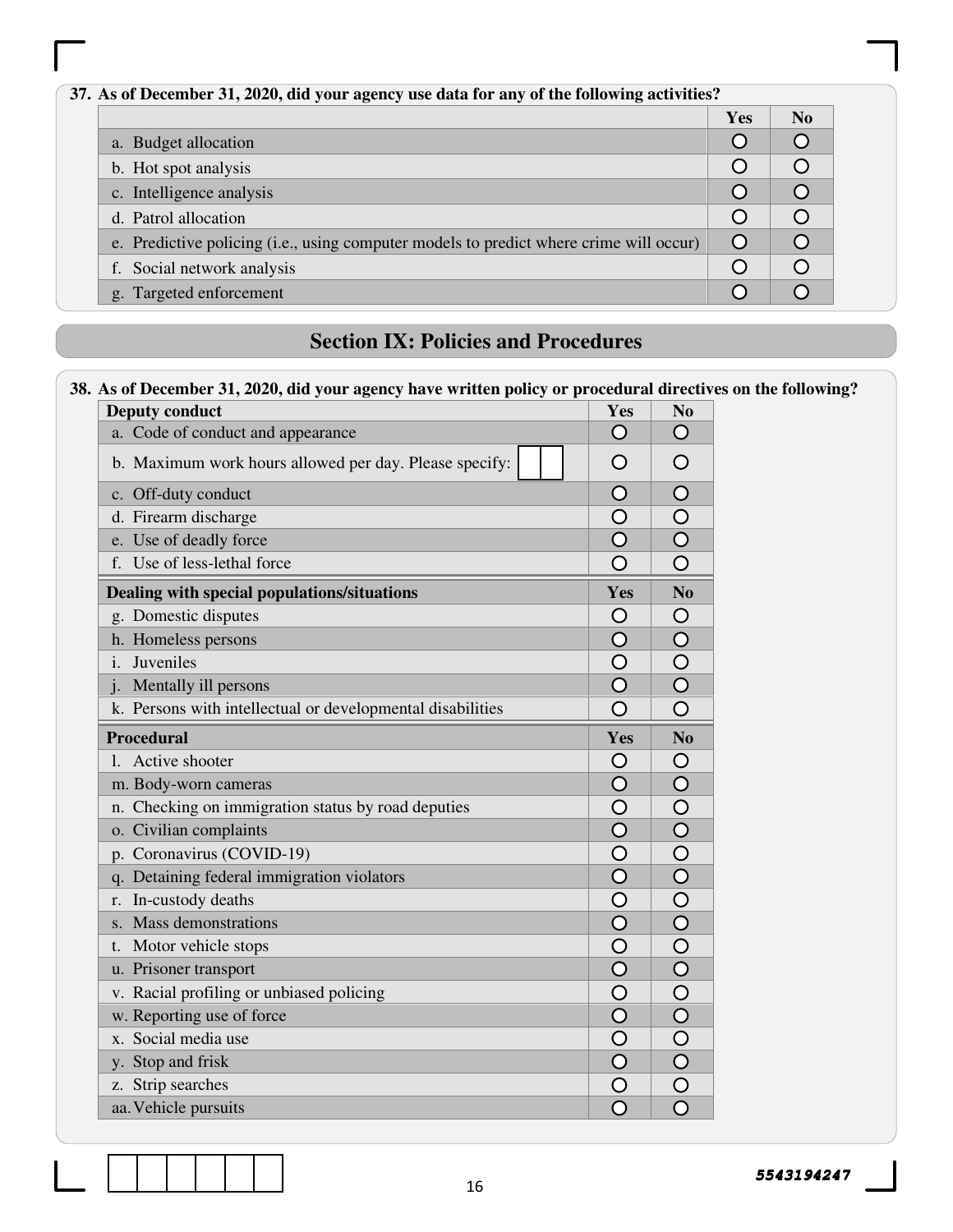| 37. As of December 31, 2020, did your agency use data for any of the following activities? |  |  |  |  |  |
|--------------------------------------------------------------------------------------------|--|--|--|--|--|
| Yes                                                                                        |  |  |  |  |  |
| a. Budget allocation                                                                       |  |  |  |  |  |
| b. Hot spot analysis                                                                       |  |  |  |  |  |
| c. Intelligence analysis                                                                   |  |  |  |  |  |
| d. Patrol allocation                                                                       |  |  |  |  |  |
| e. Predictive policing (i.e., using computer models to predict where crime will occur)     |  |  |  |  |  |
| f. Social network analysis                                                                 |  |  |  |  |  |
| g. Targeted enforcement                                                                    |  |  |  |  |  |

## **Section IX: Policies and Procedures**

## **38. As of December 31, 2020, did your agency have written policy or procedural directives on the following?**

| <b>Deputy conduct</b>                                      | Yes                     | N <sub>0</sub>              |
|------------------------------------------------------------|-------------------------|-----------------------------|
| a. Code of conduct and appearance                          | O                       | O                           |
| b. Maximum work hours allowed per day. Please specify:     | Ω                       | O                           |
| c. Off-duty conduct                                        | O                       | $\overline{O}$              |
| d. Firearm discharge                                       | O                       | $\bigcirc$                  |
| e. Use of deadly force                                     | $\overline{\mathsf{O}}$ | $\overline{\bigcirc}$       |
| f. Use of less-lethal force                                | O                       | $\overline{O}$              |
| Dealing with special populations/situations                | Yes                     | $\overline{\text{No}}$      |
| g. Domestic disputes                                       | Ő                       | O                           |
| h. Homeless persons                                        | $\overline{O}$          | $\overline{O}$              |
| Juveniles<br>$\mathbf{i}$                                  | O                       | $\circ$                     |
| Mentally ill persons<br>$\mathbf{i}$ .                     | $\overline{\mathsf{O}}$ | $\overline{\bigcirc}$       |
| k. Persons with intellectual or developmental disabilities | O                       | O                           |
| <b>Procedural</b>                                          | Yes                     | $\bf No$                    |
| Active shooter<br>$\mathbf{L}$                             | O                       | O                           |
| m. Body-worn cameras                                       | $\overline{O}$          | $\bigcirc$                  |
| n. Checking on immigration status by road deputies         | O                       | $\frac{0}{0}$               |
| o. Civilian complaints                                     | $\overline{\bigcirc}$   |                             |
| p. Coronavirus (COVID-19)                                  | $\overline{O}$          |                             |
| q. Detaining federal immigration violators                 | $\overline{\bigcirc}$   | $\frac{1}{0}$               |
| In-custody deaths<br>r.                                    | $\bigcirc$              |                             |
| Mass demonstrations<br>$S_{-}$                             | $\overline{\bigcirc}$   |                             |
| Motor vehicle stops<br>t.                                  | Ó                       | $\overline{\bigcirc}$       |
| u. Prisoner transport                                      | Ō                       | $\overline{\bigcirc}$       |
| v. Racial profiling or unbiased policing                   | $\circ$                 |                             |
| w. Reporting use of force                                  | $\bigcirc$              |                             |
| Social media use<br>$X_{-}$                                | $\bigcirc$              | $\frac{\text{O}}{\text{O}}$ |
| y. Stop and frisk                                          | $\overline{\bigcirc}$   |                             |
| Strip searches<br>Z.                                       | O                       | $\frac{\overline{O}}{O}$    |
| aa. Vehicle pursuits                                       | $\overline{\mathsf{O}}$ |                             |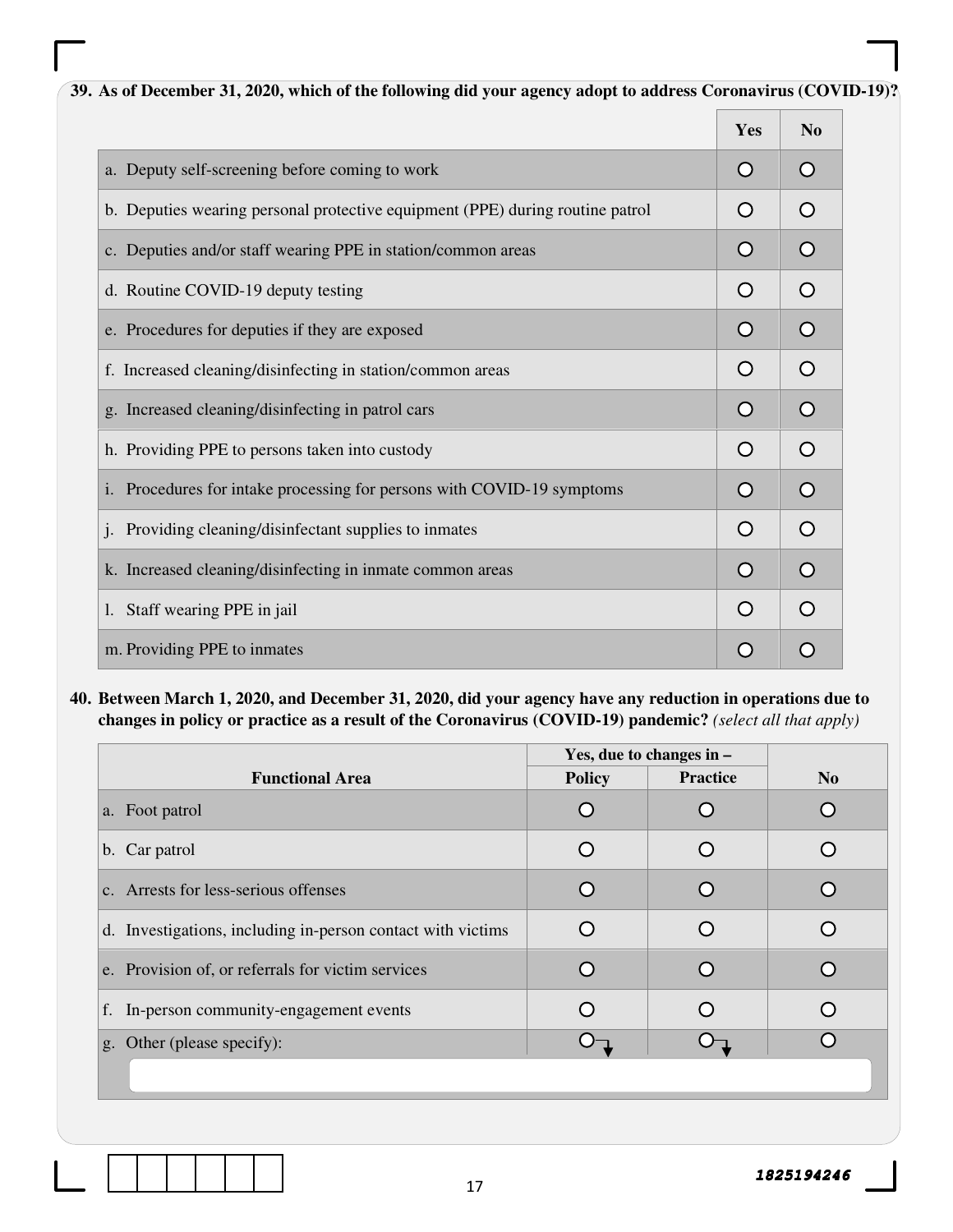| 39. As of December 31, 2020, which of the following did your agency adopt to address Coronavirus (COVID-19)? |            |                |
|--------------------------------------------------------------------------------------------------------------|------------|----------------|
|                                                                                                              | Yes        | N <sub>0</sub> |
| a. Deputy self-screening before coming to work                                                               | O          | O              |
| b. Deputies wearing personal protective equipment (PPE) during routine patrol                                | O          | $\Omega$       |
| c. Deputies and/or staff wearing PPE in station/common areas                                                 | O          | $\circ$        |
| d. Routine COVID-19 deputy testing                                                                           | O          | $\Omega$       |
| e. Procedures for deputies if they are exposed                                                               | O          | $\bigcirc$     |
| f. Increased cleaning/disinfecting in station/common areas                                                   | O          | $\Omega$       |
| g. Increased cleaning/disinfecting in patrol cars                                                            | O          | $\bigcirc$     |
| h. Providing PPE to persons taken into custody                                                               | O          | $\Omega$       |
| Procedures for intake processing for persons with COVID-19 symptoms<br>$\mathbf{i}$ .                        | O          | $\circ$        |
| Providing cleaning/disinfectant supplies to inmates                                                          | $\bigcirc$ | $\bigcirc$     |
| k. Increased cleaning/disinfecting in inmate common areas                                                    | $\Omega$   | $\circ$        |
| Staff wearing PPE in jail                                                                                    | $\bigcirc$ | $\bigcirc$     |
| m. Providing PPE to inmates                                                                                  | $\bigcirc$ | $\Omega$       |

**40. Between March 1, 2020, and December 31, 2020, did your agency have any reduction in operations due to changes in policy or practice as a result of the Coronavirus (COVID-19) pandemic?** *(select all that apply)*

|                                                             | Yes, due to changes in $-$ |                 |                |
|-------------------------------------------------------------|----------------------------|-----------------|----------------|
| <b>Functional Area</b>                                      | <b>Policy</b>              | <b>Practice</b> | N <sub>o</sub> |
| a. Foot patrol                                              |                            |                 |                |
| b. Car patrol                                               |                            |                 |                |
| c. Arrests for less-serious offenses                        |                            |                 |                |
| d. Investigations, including in-person contact with victims |                            |                 |                |
| e. Provision of, or referrals for victim services           |                            |                 |                |
| f. In-person community-engagement events                    |                            |                 |                |
| g. Other (please specify):                                  |                            |                 |                |
|                                                             |                            |                 |                |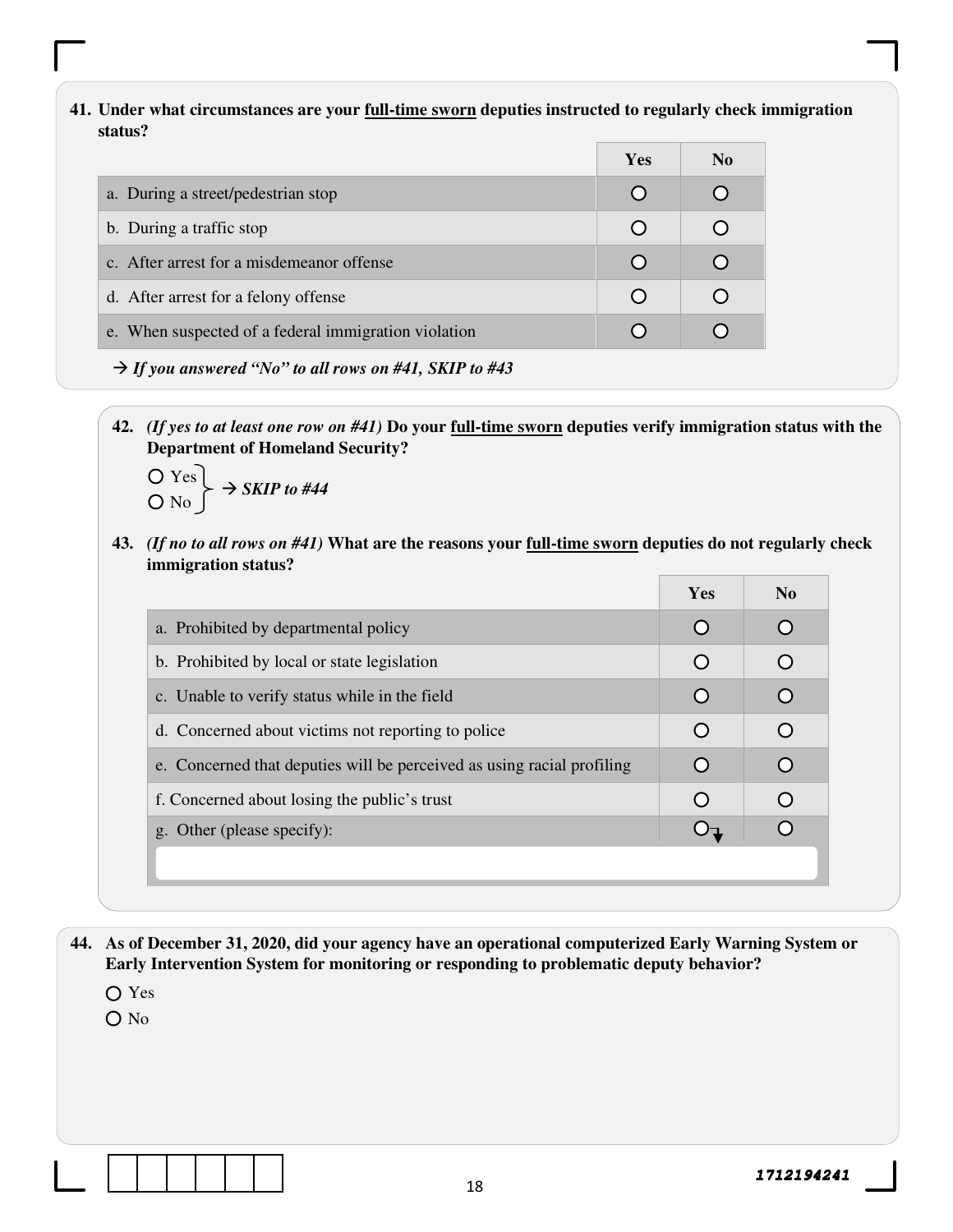#### **41. Under what circumstances are your full-time sworn deputies instructed to regularly check immigration status?**

|                                                                    | <b>Yes</b>       | N <sub>0</sub> |
|--------------------------------------------------------------------|------------------|----------------|
| a. During a street/pedestrian stop                                 | $\mathbf C$      |                |
| b. During a traffic stop                                           |                  |                |
| c. After arrest for a misdemeanor offense                          | $\left( \right)$ |                |
| d. After arrest for a felony offense                               |                  |                |
| e. When suspected of a federal immigration violation               |                  |                |
| $\rightarrow$ If you answered "No" to all rows on #41, SKIP to #43 |                  |                |

**42.** *(If yes to at least one row on #41)* **Do your full-time sworn deputies verify immigration status with the Department of Homeland Security?** 

$$
\begin{array}{c}\nO \text{ Yes} \\
O \text{ No}\n\end{array}\n\rightarrow \text{SKIP to #44}
$$

**43.** *(If no to all rows on #41)* **What are the reasons your full-time sworn deputies do not regularly check immigration status?** 

|                                                                        | <b>Yes</b> | N <sub>0</sub> |
|------------------------------------------------------------------------|------------|----------------|
| a. Prohibited by departmental policy                                   |            |                |
| b. Prohibited by local or state legislation                            |            |                |
| c. Unable to verify status while in the field                          |            |                |
| d. Concerned about victims not reporting to police                     |            |                |
| e. Concerned that deputies will be perceived as using racial profiling |            |                |
| f. Concerned about losing the public's trust                           |            |                |
| g. Other (please specify):                                             |            |                |
|                                                                        |            |                |
|                                                                        |            |                |

- **44. As of December 31, 2020, did your agency have an operational computerized Early Warning System or Early Intervention System for monitoring or responding to problematic deputy behavior?** 
	- Yes
	- O No